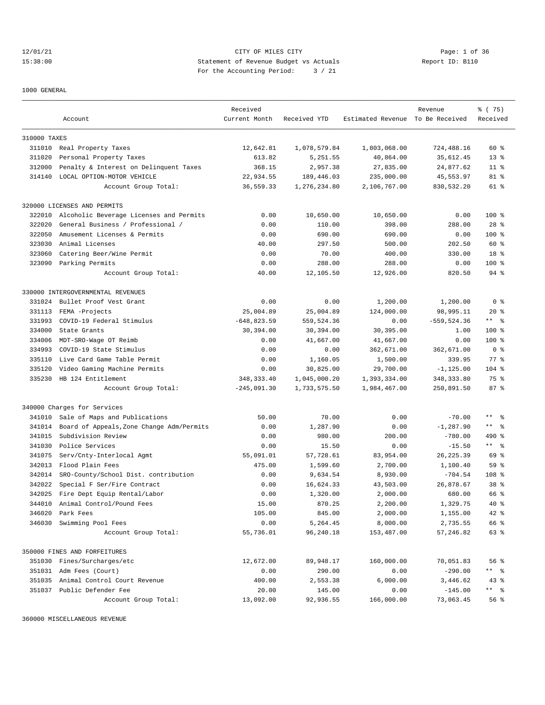12/01/21 CITY OF MILES CITY Page: 1 of 36 15:38:00 Statement of Revenue Budget vs Actuals Report ID: B110 For the Accounting Period: 3 / 21

1000 GENERAL

|                  |                                                  | Received      |                   |                                  | Revenue        | % (75)                  |
|------------------|--------------------------------------------------|---------------|-------------------|----------------------------------|----------------|-------------------------|
|                  | Account                                          | Current Month | Received YTD      | Estimated Revenue To Be Received |                | Received                |
|                  |                                                  |               |                   |                                  |                |                         |
| 310000 TAXES     |                                                  |               |                   |                                  |                |                         |
|                  | 311010 Real Property Taxes                       | 12,642.81     | 1,078,579.84      | 1,803,068.00                     | 724,488.16     | $60*$                   |
| 311020           | Personal Property Taxes                          | 613.82        | 5,251.55          | 40,864.00                        | 35,612.45      | $13*$                   |
| 312000           | Penalty & Interest on Delinquent Taxes           | 368.15        | 2,957.38          | 27,835.00                        | 24,877.62      | $11$ %                  |
| 314140           | LOCAL OPTION-MOTOR VEHICLE                       | 22,934.55     | 189,446.03        | 235,000.00                       | 45,553.97      | 81 %                    |
|                  | Account Group Total:                             | 36,559.33     | 1,276,234.80      | 2,106,767.00                     | 830,532.20     | 61 %                    |
|                  | 320000 LICENSES AND PERMITS                      |               |                   |                                  |                |                         |
| 322010           | Alcoholic Beverage Licenses and Permits          | 0.00          | 10,650.00         | 10,650.00                        | 0.00           | $100$ %                 |
| 322020           | General Business / Professional /                | 0.00          | 110.00            | 398.00                           | 288.00         | $28$ %                  |
| 322050           | Amusement Licenses & Permits                     | 0.00          | 690.00            | 690.00                           | 0.00           | $100$ %                 |
| 323030           | Animal Licenses                                  | 40.00         | 297.50            | 500.00                           | 202.50         | 60 %                    |
| 323060           | Catering Beer/Wine Permit                        | 0.00          | 70.00             | 400.00                           | 330.00         | 18 %                    |
|                  | 323090 Parking Permits                           | 0.00          | 288.00            | 288.00                           | 0.00           | $100$ %                 |
|                  | Account Group Total:                             | 40.00         | 12,105.50         | 12,926.00                        | 820.50         | $94$ %                  |
|                  | 330000 INTERGOVERNMENTAL REVENUES                |               |                   |                                  |                |                         |
| 331024           | Bullet Proof Vest Grant                          | 0.00          | 0.00              | 1,200.00                         | 1,200.00       | 0 <sup>8</sup>          |
| 331113           | FEMA -Projects                                   | 25,004.89     | 25,004.89         | 124,000.00                       | 98,995.11      | $20*$                   |
| 331993           | COVID-19 Federal Stimulus                        | $-648,823.59$ | 559,524.36        | 0.00                             | $-559, 524.36$ | $***$ $ -$              |
| 334000           | State Grants                                     | 30,394.00     | 30,394.00         | 30,395.00                        | 1.00           | $100$ %                 |
|                  |                                                  |               |                   |                                  |                |                         |
| 334006<br>334993 | MDT-SRO-Wage OT Reimb<br>COVID-19 State Stimulus | 0.00          | 41,667.00<br>0.00 | 41,667.00                        | 0.00           | 100 %<br>0 <sup>8</sup> |
| 335110           | Live Card Game Table Permit                      | 0.00          |                   | 362,671.00                       | 362,671.00     | $77$ $%$                |
|                  |                                                  | 0.00          | 1,160.05          | 1,500.00                         | 339.95         |                         |
| 335120           | Video Gaming Machine Permits                     | 0.00          | 30,825.00         | 29,700.00                        | $-1, 125.00$   | $104$ %                 |
| 335230           | HB 124 Entitlement                               | 348, 333.40   | 1,045,000.20      | 1,393,334.00                     | 348, 333.80    | 75 %                    |
|                  | Account Group Total:                             | $-245,091.30$ | 1,733,575.50      | 1,984,467.00                     | 250,891.50     | 87%                     |
|                  | 340000 Charges for Services                      |               |                   |                                  |                |                         |
| 341010           | Sale of Maps and Publications                    | 50.00         | 70.00             | 0.00                             | $-70.00$       | ** 왕                    |
| 341014           | Board of Appeals, Zone Change Adm/Permits        | 0.00          | 1,287.90          | 0.00                             | $-1, 287.90$   | $***$ $ -$              |
| 341015           | Subdivision Review                               | 0.00          | 980.00            | 200.00                           | $-780.00$      | 490 %                   |
| 341030           | Police Services                                  | 0.00          | 15.50             | 0.00                             | $-15.50$       | $***$ $ -$              |
| 341075           | Serv/Cnty-Interlocal Agmt                        | 55,091.01     | 57,728.61         | 83,954.00                        | 26, 225.39     | 69 %                    |
| 342013           | Flood Plain Fees                                 | 475.00        | 1,599.60          | 2,700.00                         | 1,100.40       | 59 %                    |
| 342014           | SRO-County/School Dist. contribution             | 0.00          | 9,634.54          | 8,930.00                         | $-704.54$      | 108 <sup>8</sup>        |
| 342022           | Special F Ser/Fire Contract                      | 0.00          | 16,624.33         | 43,503.00                        | 26,878.67      | 38 %                    |
| 342025           | Fire Dept Equip Rental/Labor                     | 0.00          | 1,320.00          | 2,000.00                         | 680.00         | 66 %                    |
| 344010           | Animal Control/Pound Fees                        | 15.00         | 870.25            | 2,200.00                         | 1,329.75       | $40*$                   |
| 346020           | Park Fees                                        | 105.00        | 845.00            | 2,000.00                         | 1,155.00       | 42 %                    |
| 346030           | Swimming Pool Fees                               | 0.00          | 5,264.45          | 8,000.00                         | 2,735.55       | 66 %                    |
|                  | Account Group Total:                             | 55,736.01     | 96,240.18         | 153,487.00                       | 57,246.82      | 63 %                    |
|                  | 350000 FINES AND FORFEITURES                     |               |                   |                                  |                |                         |
| 351030           | Fines/Surcharges/etc                             | 12,672.00     | 89,948.17         | 160,000.00                       | 70,051.83      | 56 %                    |
| 351031           | Adm Fees (Court)                                 | 0.00          | 290.00            | 0.00                             | $-290.00$      | ** %                    |
| 351035           | Animal Control Court Revenue                     | 400.00        | 2,553.38          | 6,000.00                         | 3,446.62       | $43$ $%$                |
|                  | 351037 Public Defender Fee                       | 20.00         | 145.00            | 0.00                             | $-145.00$      | ** %                    |
|                  | Account Group Total:                             | 13,092.00     | 92,936.55         | 166,000.00                       | 73,063.45      | 56 %                    |

360000 MISCELLANEOUS REVENUE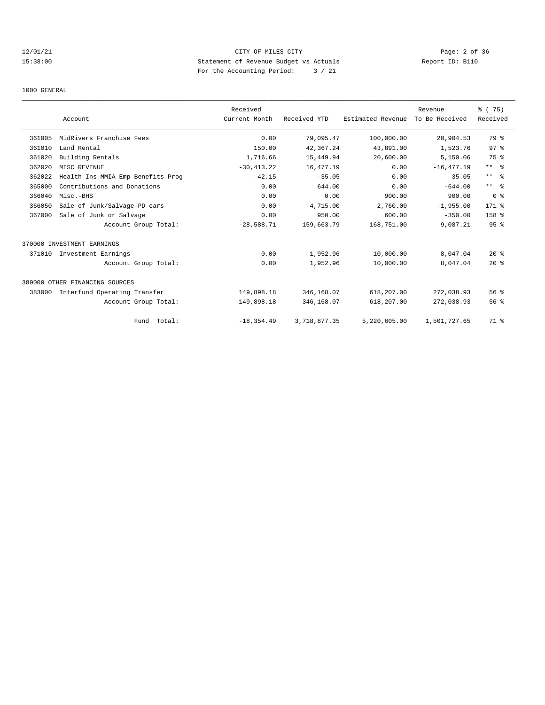# 12/01/21 CITY OF MILES CITY Page: 2 of 36 15:38:00 Statement of Revenue Budget vs Actuals Report ID: B110 For the Accounting Period: 3 / 21

1000 GENERAL

|        |                                   | Received      |              |                   | Revenue        | % (75)           |
|--------|-----------------------------------|---------------|--------------|-------------------|----------------|------------------|
|        | Account                           | Current Month | Received YTD | Estimated Revenue | To Be Received | Received         |
| 361005 | MidRivers Franchise Fees          | 0.00          | 79,095.47    | 100,000.00        | 20,904.53      | 79 %             |
| 361010 | Land Rental                       | 150.00        | 42,367.24    | 43,891.00         | 1,523.76       | 97 <sup>8</sup>  |
| 361020 | Building Rentals                  | 1,716.66      | 15,449.94    | 20,600.00         | 5,150.06       | 75 %             |
| 362020 | MISC REVENUE                      | $-30, 413.22$ | 16,477.19    | 0.00              | $-16, 477.19$  | $***$ $ -$       |
| 362022 | Health Ins-MMIA Emp Benefits Prog | $-42.15$      | $-35.05$     | 0.00              | 35.05          | $***$ $ -$       |
| 365000 | Contributions and Donations       | 0.00          | 644.00       | 0.00              | $-644.00$      | $***$ $ -$       |
| 366040 | Misc.-BHS                         | 0.00          | 0.00         | 900.00            | 900.00         | 0 <sup>8</sup>   |
| 366050 | Sale of Junk/Salvage-PD cars      | 0.00          | 4,715.00     | 2,760.00          | $-1,955.00$    | 171 %            |
| 367000 | Sale of Junk or Salvage           | 0.00          | 950.00       | 600.00            | $-350.00$      | 158 <sup>8</sup> |
|        | Account Group Total:              | $-28,588.71$  | 159,663.79   | 168,751.00        | 9,087.21       | 95 <sup>8</sup>  |
|        | 370000 INVESTMENT EARNINGS        |               |              |                   |                |                  |
| 371010 | Investment Earnings               | 0.00          | 1,952.96     | 10,000.00         | 8,047.04       | $20*$            |
|        | Account Group Total:              | 0.00          | 1,952.96     | 10,000.00         | 8,047.04       | $20*$            |
|        | 380000 OTHER FINANCING SOURCES    |               |              |                   |                |                  |
| 383000 | Interfund Operating Transfer      | 149,898.18    | 346,168.07   | 618,207.00        | 272,038.93     | 56%              |
|        | Account Group Total:              | 149,898.18    | 346,168.07   | 618,207.00        | 272,038.93     | 56%              |
|        | Fund Total:                       | $-18, 354.49$ | 3,718,877.35 | 5,220,605.00      | 1,501,727.65   | 71 %             |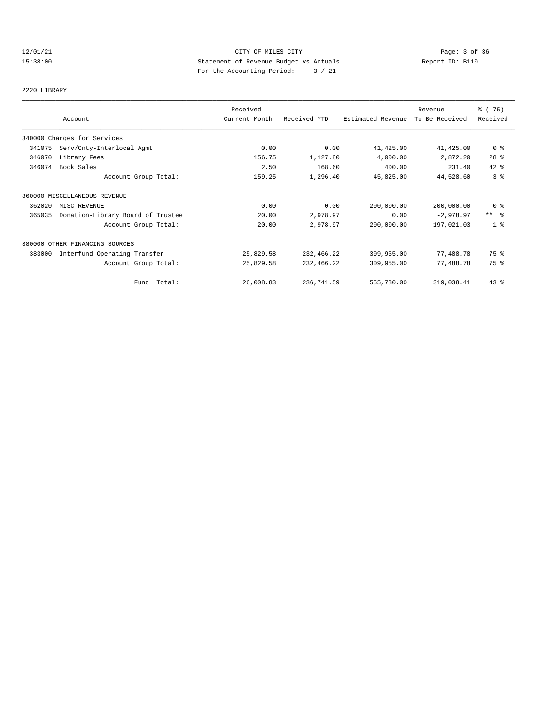# 12/01/21 CITY OF MILES CITY Page: 3 of 36 15:38:00 Statement of Revenue Budget vs Actuals Report ID: B110 For the Accounting Period: 3 / 21

#### 2220 LIBRARY

|        |                                   | Received      |              |                   | Revenue        | % (75)          |
|--------|-----------------------------------|---------------|--------------|-------------------|----------------|-----------------|
|        | Account                           | Current Month | Received YTD | Estimated Revenue | To Be Received | Received        |
|        | 340000 Charges for Services       |               |              |                   |                |                 |
| 341075 | Serv/Cnty-Interlocal Agmt         | 0.00          | 0.00         | 41,425.00         | 41,425.00      | $0$ %           |
| 346070 | Library Fees                      | 156.75        | 1,127.80     | 4,000.00          | 2,872.20       | $28$ %          |
| 346074 | Book Sales                        | 2.50          | 168.60       | 400.00            | 231.40         | 42 %            |
|        | Account Group Total:              | 159.25        | 1,296.40     | 45,825.00         | 44,528.60      | 3%              |
|        | 360000 MISCELLANEOUS REVENUE      |               |              |                   |                |                 |
| 362020 | MISC REVENUE                      | 0.00          | 0.00         | 200,000.00        | 200,000.00     | 0 <sup>8</sup>  |
| 365035 | Donation-Library Board of Trustee | 20.00         | 2,978.97     | 0.00              | $-2,978.97$    | $***$ $\approx$ |
|        | Account Group Total:              | 20.00         | 2,978.97     | 200,000.00        | 197,021.03     | 1 <sup>8</sup>  |
|        | 380000 OTHER FINANCING SOURCES    |               |              |                   |                |                 |
| 383000 | Interfund Operating Transfer      | 25,829.58     | 232,466.22   | 309,955.00        | 77,488.78      | 75 %            |
|        | Account Group Total:              | 25,829.58     | 232,466.22   | 309,955.00        | 77,488.78      | 75 %            |
|        | Fund Total:                       | 26,008.83     | 236,741.59   | 555,780.00        | 319,038.41     | $43$ $%$        |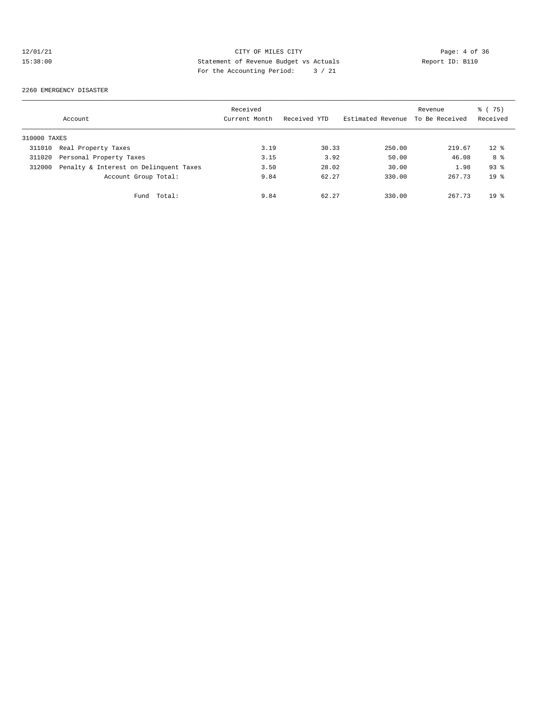# 12/01/21 CITY OF MILES CITY CHERE CITY Page: 4 of 36<br>15:38:00 Statement of Revenue Budget vs Actuals Report ID: B110 15:38:00 Statement of Revenue Budget vs Actuals Report ID: B110 For the Accounting Period: 3 / 21

#### 2260 EMERGENCY DISASTER

|              | Account                                | Received<br>Current Month | Received YTD | Estimated Revenue | Revenue<br>To Be Received | % (75)<br>Received |
|--------------|----------------------------------------|---------------------------|--------------|-------------------|---------------------------|--------------------|
| 310000 TAXES |                                        |                           |              |                   |                           |                    |
| 311010       | Real Property Taxes                    | 3.19                      | 30.33        | 250.00            | 219.67                    | $12*$              |
| 311020       | Personal Property Taxes                | 3.15                      | 3.92         | 50.00             | 46.08                     | 8 %                |
| 312000       | Penalty & Interest on Delinquent Taxes | 3.50                      | 28.02        | 30.00             | 1.98                      | $93$ $%$           |
|              | Account Group Total:                   | 9.84                      | 62.27        | 330.00            | 267.73                    | $19*$              |
|              | Total:<br>Fund                         | 9.84                      | 62.27        | 330.00            | 267.73                    | $19*$              |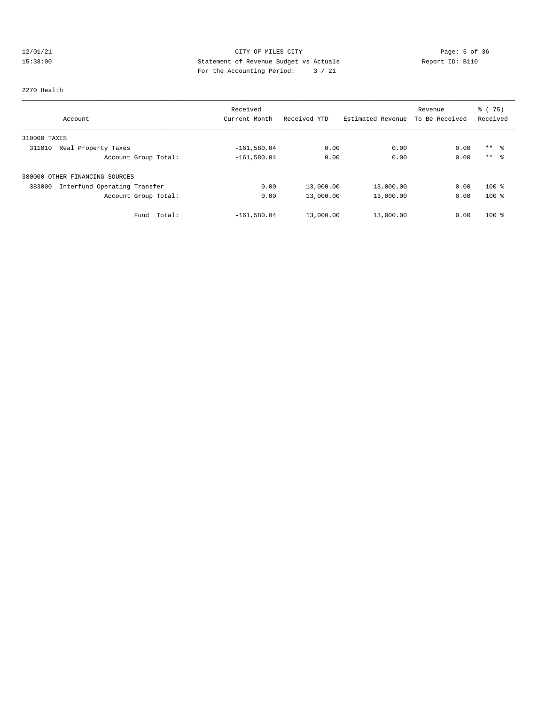# 12/01/21 CITY OF MILES CITY CONTRIBUTE CITY Page: 5 of 36<br>15:38:00 15:38:00 Statement of Revenue Budget vs Actuals Report ID: B110 15:38:00 Statement of Revenue Budget vs Actuals Report ID: B110 For the Accounting Period: 3 / 21

#### 2270 Health

| Account                                | Received<br>Current Month | Received YTD | Estimated Revenue | Revenue<br>To Be Received | $\frac{3}{6}$ ( 75)<br>Received |
|----------------------------------------|---------------------------|--------------|-------------------|---------------------------|---------------------------------|
| 310000 TAXES                           |                           |              |                   |                           |                                 |
| 311010<br>Real Property Taxes          | $-161,580.04$             | 0.00         | 0.00              | 0.00                      | $***$ 8                         |
| Account Group Total:                   | $-161,580.04$             | 0.00         | 0.00              | 0.00                      | $***$ $\approx$                 |
| 380000 OTHER FINANCING SOURCES         |                           |              |                   |                           |                                 |
| Interfund Operating Transfer<br>383000 | 0.00                      | 13,000.00    | 13,000.00         | 0.00                      | $100*$                          |
| Account Group Total:                   | 0.00                      | 13,000.00    | 13,000.00         | 0.00                      | $100*$                          |
| Total:<br>Fund                         | $-161,580.04$             | 13,000.00    | 13,000.00         | 0.00                      | $100*$                          |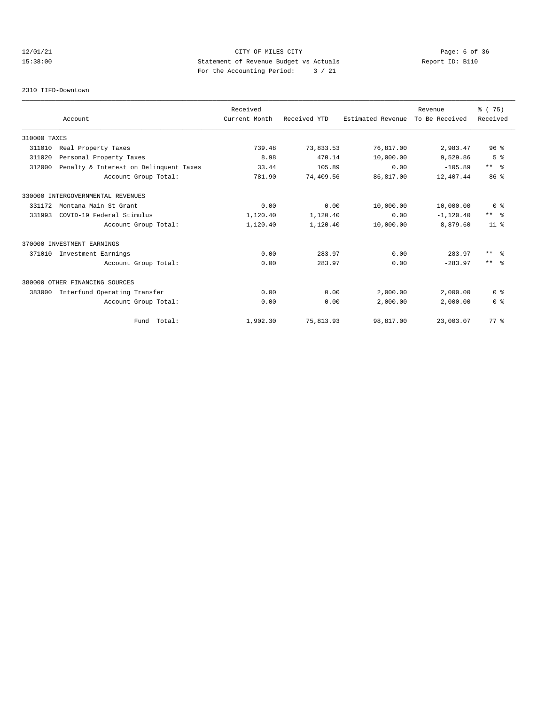# 12/01/21 CITY OF MILES CITY Page: 6 of 36 15:38:00 Statement of Revenue Budget vs Actuals Report ID: B110 For the Accounting Period: 3 / 21

#### 2310 TIFD-Downtown

|              |                                        | Received      |              |                   | Revenue        | % (75)          |
|--------------|----------------------------------------|---------------|--------------|-------------------|----------------|-----------------|
|              | Account                                | Current Month | Received YTD | Estimated Revenue | To Be Received | Received        |
| 310000 TAXES |                                        |               |              |                   |                |                 |
| 311010       | Real Property Taxes                    | 739.48        | 73,833.53    | 76,817.00         | 2,983.47       | 96 <sup>8</sup> |
| 311020       | Personal Property Taxes                | 8.98          | 470.14       | 10,000.00         | 9,529.86       | 5 <sup>°</sup>  |
| 312000       | Penalty & Interest on Delinquent Taxes | 33.44         | 105.89       | 0.00              | $-105.89$      | $***$ $ -$      |
|              | Account Group Total:                   | 781.90        | 74,409.56    | 86,817.00         | 12,407.44      | 86 <sup>8</sup> |
|              | 330000 INTERGOVERNMENTAL REVENUES      |               |              |                   |                |                 |
| 331172       | Montana Main St Grant                  | 0.00          | 0.00         | 10,000.00         | 10,000.00      | 0 <sup>8</sup>  |
| 331993       | COVID-19 Federal Stimulus              | 1,120.40      | 1,120.40     | 0.00              | $-1, 120.40$   | $***$ $ -$      |
|              | Account Group Total:                   | 1,120.40      | 1,120.40     | 10,000.00         | 8,879.60       | $11*$           |
|              | 370000 INVESTMENT EARNINGS             |               |              |                   |                |                 |
| 371010       | Investment Earnings                    | 0.00          | 283.97       | 0.00              | $-283.97$      | $***$ $ -$      |
|              | Account Group Total:                   | 0.00          | 283.97       | 0.00              | $-283.97$      | $***$ $ -$      |
|              | 380000 OTHER FINANCING SOURCES         |               |              |                   |                |                 |
| 383000       | Interfund Operating Transfer           | 0.00          | 0.00         | 2,000.00          | 2,000.00       | 0 <sup>8</sup>  |
|              | Account Group Total:                   | 0.00          | 0.00         | 2,000.00          | 2,000.00       | 0 <sup>8</sup>  |
|              | Fund Total:                            | 1,902.30      | 75,813.93    | 98,817.00         | 23,003.07      | 77.8            |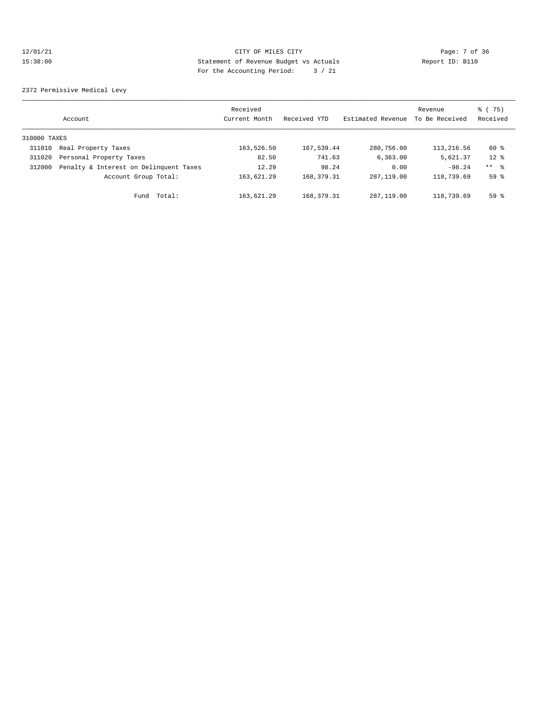# 12/01/21 CITY OF MILES CITY Page: 7 of 36 15:38:00 Statement of Revenue Budget vs Actuals Report ID: B110 For the Accounting Period: 3 / 21

2372 Permissive Medical Levy

|              | Account                                | Received<br>Current Month | Received YTD | Estimated Revenue | Revenue<br>To Be Received | % (75)<br>Received |
|--------------|----------------------------------------|---------------------------|--------------|-------------------|---------------------------|--------------------|
| 310000 TAXES |                                        |                           |              |                   |                           |                    |
| 311010       | Real Property Taxes                    | 163,526.50                | 167,539.44   | 280,756.00        | 113,216.56                | 60 %               |
| 311020       | Personal Property Taxes                | 82.50                     | 741.63       | 6, 363, 00        | 5,621.37                  | $12*$              |
| 312000       | Penalty & Interest on Delinquent Taxes | 12.29                     | 98.24        | 0.00              | $-98.24$                  | $***$ %            |
|              | Account Group Total:                   | 163,621.29                | 168, 379. 31 | 287, 119, 00      | 118,739.69                | 59 <sup>8</sup>    |
|              | Total:<br>Fund                         | 163,621.29                | 168, 379. 31 | 287, 119, 00      | 118,739.69                | 59%                |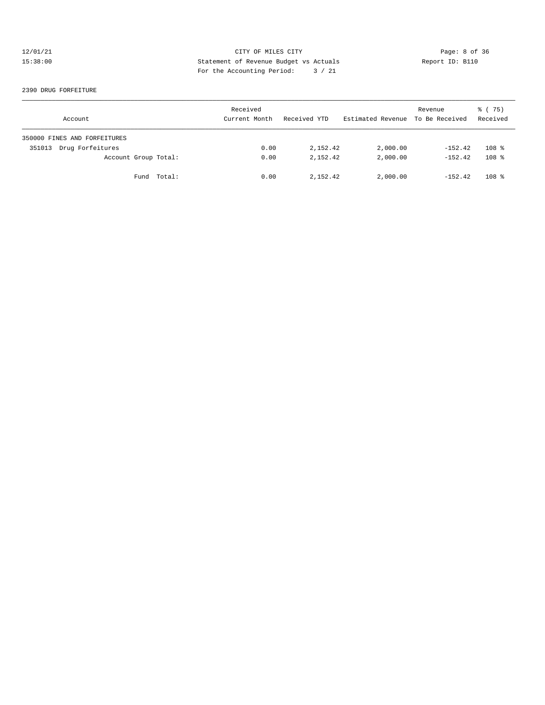# 12/01/21 CITY OF MILES CITY CHERE CITY Page: 8 of 36<br>15:38:00 15:38:00 Statement of Revenue Budget vs Actuals Report ID: B110 15:38:00 Statement of Revenue Budget vs Actuals Report ID: B110 For the Accounting Period: 3 / 21

#### 2390 DRUG FORFEITURE

| Account                      | Received<br>Current Month | Received YTD | Estimated Revenue To Be Received | Revenue   | 8 (75)<br>Received |
|------------------------------|---------------------------|--------------|----------------------------------|-----------|--------------------|
| 350000 FINES AND FORFEITURES |                           |              |                                  |           |                    |
| Drug Forfeitures<br>351013   | 0.00                      | 2,152.42     | 2,000.00                         | $-152.42$ | 108 <sup>8</sup>   |
| Account Group Total:         | 0.00                      | 2, 152, 42   | 2,000.00                         | $-152.42$ | 108 <sup>8</sup>   |
| Fund Total:                  | 0.00                      | 2,152.42     | 2,000.00                         | $-152.42$ | $108$ %            |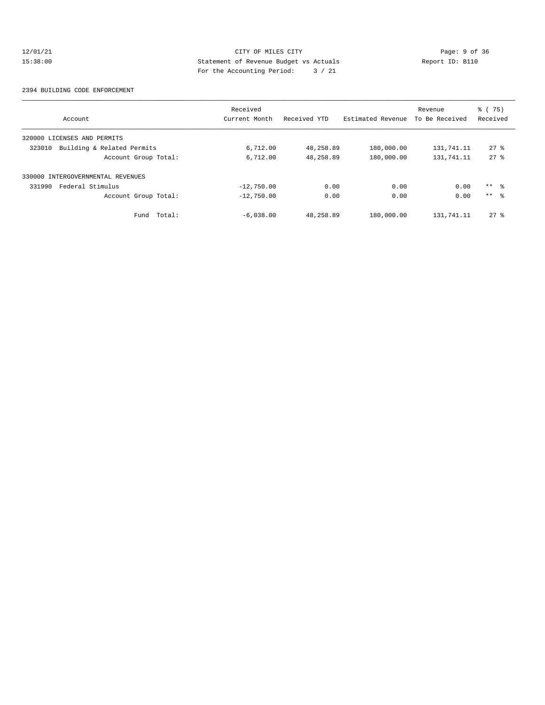# $12/01/21$  Page: 9 of 36<br>15:38:00 12:38:00 Statement of Revenue Budget vs Actuals Report ID: B110 15:38:00 Statement of Revenue Budget vs Actuals Report ID: B110 For the Accounting Period: 3 / 21

#### 2394 BUILDING CODE ENFORCEMENT

|                                      | Received      |              |                   | Revenue        | $\frac{3}{6}$ ( 75) |
|--------------------------------------|---------------|--------------|-------------------|----------------|---------------------|
| Account                              | Current Month | Received YTD | Estimated Revenue | To Be Received | Received            |
| 320000 LICENSES AND PERMITS          |               |              |                   |                |                     |
| Building & Related Permits<br>323010 | 6,712.00      | 48,258.89    | 180,000.00        | 131,741.11     | $27*$               |
| Account Group Total:                 | 6,712.00      | 48,258.89    | 180,000.00        | 131,741.11     | $27*$               |
| 330000 INTERGOVERNMENTAL REVENUES    |               |              |                   |                |                     |
| Federal Stimulus<br>331990           | $-12,750.00$  | 0.00         | 0.00              | 0.00           | $***$ 8             |
| Account Group Total:                 | $-12,750.00$  | 0.00         | 0.00              | 0.00           | $***$ $\approx$     |
| Total:<br>Fund                       | $-6,038.00$   | 48,258.89    | 180,000.00        | 131,741.11     | $27*$               |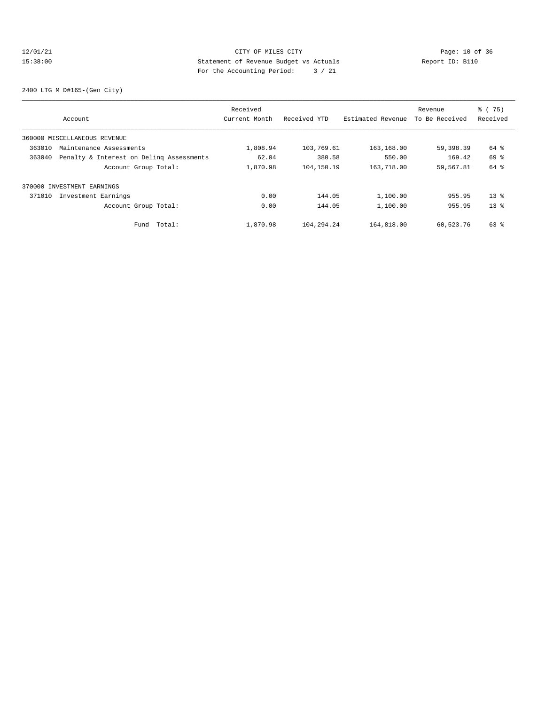# 12/01/21 CITY OF MILES CITY<br>15:38:00 Statement of Revenue Budget vs Actuals<br>15:38:00 Report ID: B110 15:38:00 Statement of Revenue Budget vs Actuals Report ID: B110 For the Accounting Period: 3 / 21

2400 LTG M D#165-(Gen City)

|        |                                          | Received      |              |                   | Revenue        | $\frac{3}{6}$ ( 75) |
|--------|------------------------------------------|---------------|--------------|-------------------|----------------|---------------------|
|        | Account                                  | Current Month | Received YTD | Estimated Revenue | To Be Received | Received            |
|        | 360000 MISCELLANEOUS REVENUE             |               |              |                   |                |                     |
| 363010 | Maintenance Assessments                  | 1,808.94      | 103,769.61   | 163,168.00        | 59,398.39      | 64 %                |
| 363040 | Penalty & Interest on Deling Assessments | 62.04         | 380.58       | 550.00            | 169.42         | 69 %                |
|        | Account Group Total:                     | 1,870.98      | 104,150.19   | 163,718.00        | 59,567.81      | 64 %                |
|        | 370000 INVESTMENT EARNINGS               |               |              |                   |                |                     |
| 371010 | Investment Earnings                      | 0.00          | 144.05       | 1,100.00          | 955.95         | $13*$               |
|        | Account Group Total:                     | 0.00          | 144.05       | 1,100.00          | 955.95         | $13*$               |
|        | Total:<br>Fund                           | 1,870.98      | 104,294.24   | 164,818.00        | 60,523.76      | 63 %                |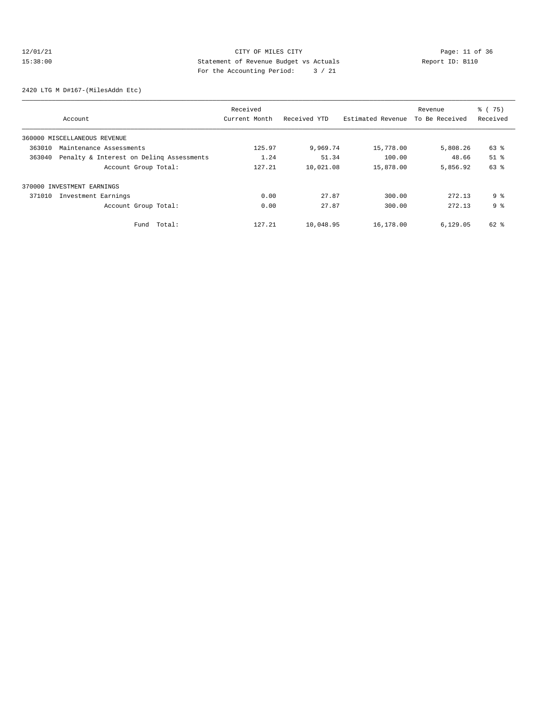# 12/01/21 Page: 11 of 36 CITY OF MILES CITY 15:38:00 Statement of Revenue Budget vs Actuals Report ID: B110 For the Accounting Period: 3 / 21

2420 LTG M D#167-(MilesAddn Etc)

| Account                                            | Received<br>Current Month | Received YTD | Estimated Revenue | Revenue<br>To Be Received | % (75)<br>Received            |
|----------------------------------------------------|---------------------------|--------------|-------------------|---------------------------|-------------------------------|
| 360000 MISCELLANEOUS REVENUE                       |                           |              |                   |                           |                               |
| 363010<br>Maintenance Assessments                  | 125.97                    | 9,969.74     | 15,778.00         | 5,808.26                  | 63 %                          |
| 363040<br>Penalty & Interest on Deling Assessments | 1.24                      | 51.34        | 100.00            | 48.66                     | $51$ $\overline{\phantom{0}}$ |
| Account Group Total:                               | 127.21                    | 10,021.08    | 15,878.00         | 5,856.92                  | 63 %                          |
| 370000 INVESTMENT EARNINGS                         |                           |              |                   |                           |                               |
| 371010<br>Investment Earnings                      | 0.00                      | 27.87        | 300.00            | 272.13                    | 9 <sup>8</sup>                |
| Account Group Total:                               | 0.00                      | 27.87        | 300.00            | 272.13                    | 9 <sup>8</sup>                |
| Total:<br>Fund                                     | 127.21                    | 10,048.95    | 16,178.00         | 6,129.05                  | 62 %                          |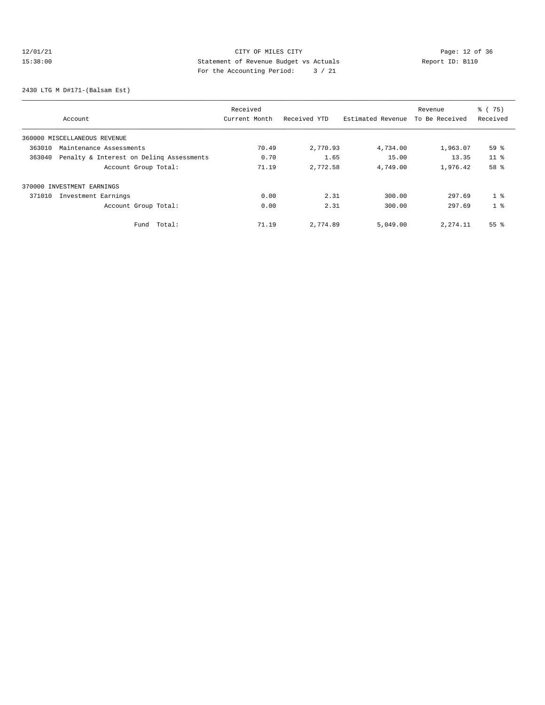# 12/01/21 Page: 12 of 36 CITY OF MILES CITY CHANGES CONTROL PAGE: 12 of 36 15:38:00 Statement of Revenue Budget vs Actuals Report ID: B110 For the Accounting Period: 3 / 21

2430 LTG M D#171-(Balsam Est)

| Account                                            | Received<br>Current Month | Received YTD | Estimated Revenue | Revenue<br>To Be Received | % (75)<br>Received |
|----------------------------------------------------|---------------------------|--------------|-------------------|---------------------------|--------------------|
| 360000 MISCELLANEOUS REVENUE                       |                           |              |                   |                           |                    |
| 363010<br>Maintenance Assessments                  | 70.49                     | 2,770.93     | 4,734.00          | 1,963.07                  | 59 %               |
| 363040<br>Penalty & Interest on Deling Assessments | 0.70                      | 1.65         | 15.00             | 13.35                     | 11 <sup>8</sup>    |
| Account Group Total:                               | 71.19                     | 2,772.58     | 4,749.00          | 1,976.42                  | 58 %               |
| 370000 INVESTMENT EARNINGS                         |                           |              |                   |                           |                    |
| 371010<br>Investment Earnings                      | 0.00                      | 2.31         | 300.00            | 297.69                    | 1 <sup>8</sup>     |
| Account Group Total:                               | 0.00                      | 2.31         | 300.00            | 297.69                    | 1 <sup>8</sup>     |
| Total:<br>Fund                                     | 71.19                     | 2,774.89     | 5,049.00          | 2, 274.11                 | $55$ $\frac{6}{3}$ |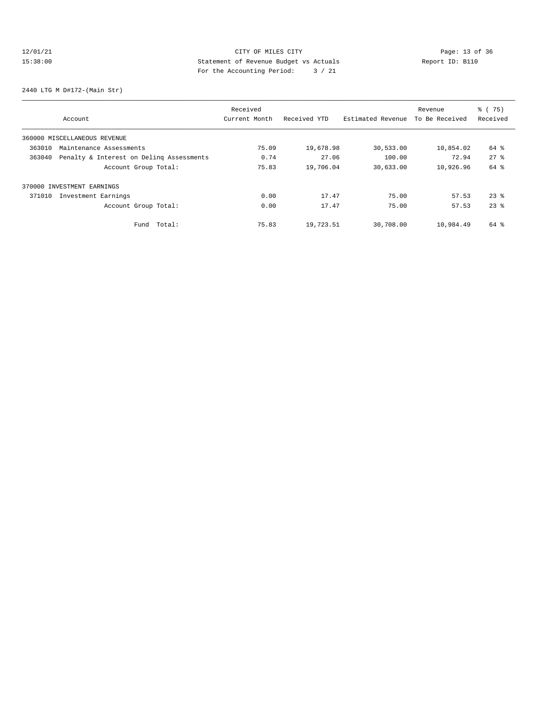# 12/01/21 Page: 13 of 36 Page: 13 of 36 Page: 13 Of 36 Page: 13 Of 36 Page: 13 Of 36 15:38:00 Statement of Revenue Budget vs Actuals Report ID: B110 For the Accounting Period: 3 / 21

2440 LTG M D#172-(Main Str)

| Account                                            | Received<br>Current Month | Received YTD | Estimated Revenue | Revenue<br>To Be Received | % (75)<br>Received |
|----------------------------------------------------|---------------------------|--------------|-------------------|---------------------------|--------------------|
| 360000 MISCELLANEOUS REVENUE                       |                           |              |                   |                           |                    |
| 363010<br>Maintenance Assessments                  | 75.09                     | 19,678.98    | 30,533.00         | 10,854.02                 | 64 %               |
| 363040<br>Penalty & Interest on Deling Assessments | 0.74                      | 27.06        | 100.00            | 72.94                     | $27$ $%$           |
| Account Group Total:                               | 75.83                     | 19,706.04    | 30,633.00         | 10,926.96                 | 64 %               |
| 370000 INVESTMENT EARNINGS                         |                           |              |                   |                           |                    |
| 371010<br>Investment Earnings                      | 0.00                      | 17.47        | 75.00             | 57.53                     | $23$ $%$           |
| Account Group Total:                               | 0.00                      | 17.47        | 75.00             | 57.53                     | $23$ $%$           |
| Total:<br>Fund                                     | 75.83                     | 19,723.51    | 30,708.00         | 10,984.49                 | 64 %               |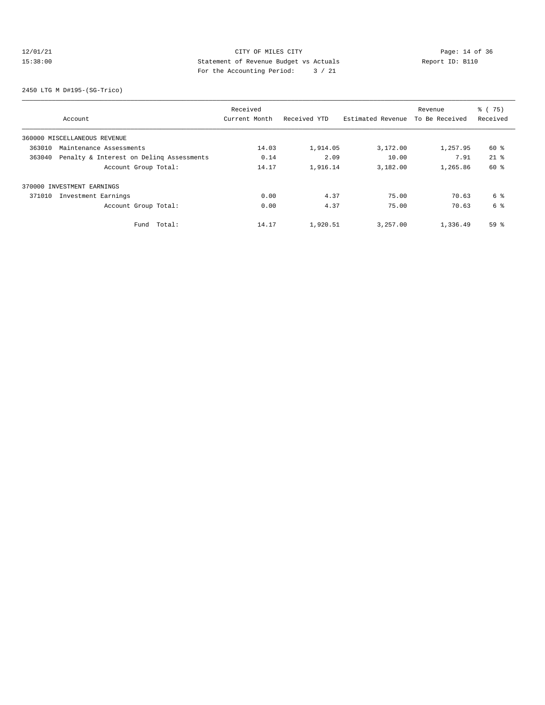# 12/01/21 Page: 14 of 36 15:38:00 Statement of Revenue Budget vs Actuals Report ID: B110 For the Accounting Period: 3 / 21

2450 LTG M D#195-(SG-Trico)

| Account                                            | Received<br>Current Month | Received YTD | Estimated Revenue | Revenue<br>To Be Received | % (75)<br>Received |
|----------------------------------------------------|---------------------------|--------------|-------------------|---------------------------|--------------------|
| 360000 MISCELLANEOUS REVENUE                       |                           |              |                   |                           |                    |
| 363010<br>Maintenance Assessments                  | 14.03                     | 1,914.05     | 3,172.00          | 1,257.95                  | $60*$              |
| Penalty & Interest on Deling Assessments<br>363040 | 0.14                      | 2.09         | 10.00             | 7.91                      | $21*$              |
| Account Group Total:                               | 14.17                     | 1,916.14     | 3,182.00          | 1,265.86                  | 60 %               |
| 370000 INVESTMENT EARNINGS                         |                           |              |                   |                           |                    |
| Investment Earnings<br>371010                      | 0.00                      | 4.37         | 75.00             | 70.63                     | 6 %                |
| Account Group Total:                               | 0.00                      | 4.37         | 75.00             | 70.63                     | 6 %                |
| Total:<br>Fund                                     | 14.17                     | 1,920.51     | 3,257.00          | 1,336.49                  | 59 <sup>°</sup>    |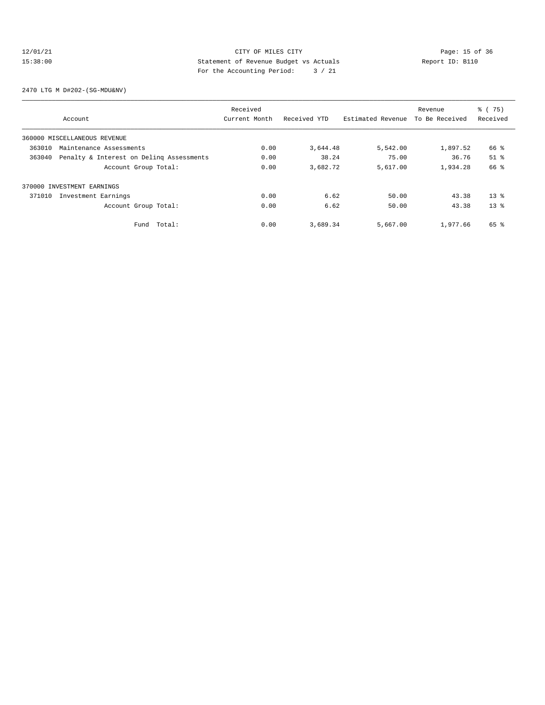# 12/01/21 Page: 15 of 36<br>15:38:00 CITY OF MILES CITY Page: 15 of 36<br>15:38:00 Statement of Revenue Budget vs Actuals Report ID: B110 15:38:00 Statement of Revenue Budget vs Actuals Report ID: B110 For the Accounting Period: 3 / 21

2470 LTG M D#202-(SG-MDU&NV)

| Account                                            | Received<br>Current Month | Received YTD | Estimated Revenue | Revenue<br>To Be Received | % (75)<br>Received  |
|----------------------------------------------------|---------------------------|--------------|-------------------|---------------------------|---------------------|
| 360000 MISCELLANEOUS REVENUE                       |                           |              |                   |                           |                     |
| 363010<br>Maintenance Assessments                  | 0.00                      | 3,644.48     | 5,542.00          | 1,897.52                  | 66 %                |
| 363040<br>Penalty & Interest on Deling Assessments | 0.00                      | 38.24        | 75.00             | 36.76                     | $51$ $\overline{6}$ |
| Account Group Total:                               | 0.00                      | 3,682.72     | 5,617.00          | 1,934.28                  | 66 %                |
| 370000 INVESTMENT EARNINGS                         |                           |              |                   |                           |                     |
| 371010<br>Investment Earnings                      | 0.00                      | 6.62         | 50.00             | 43.38                     | $13*$               |
| Account Group Total:                               | 0.00                      | 6.62         | 50.00             | 43.38                     | $13*$               |
| Total:<br>Fund                                     | 0.00                      | 3,689.34     | 5,667.00          | 1,977.66                  | 65 %                |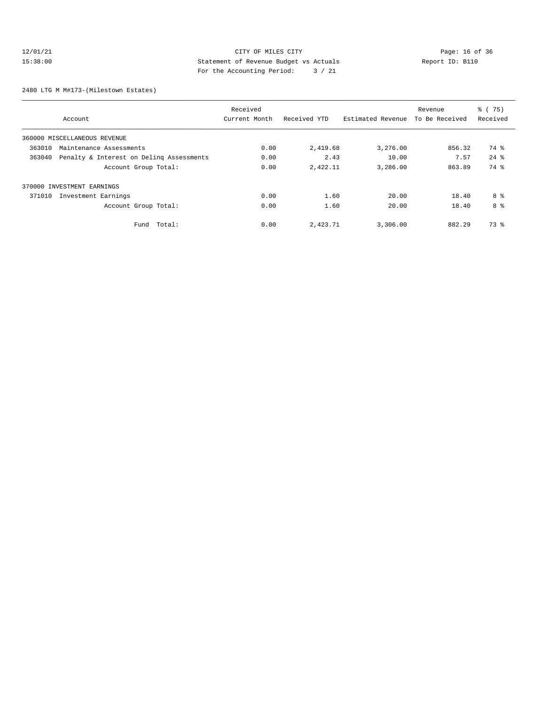# 12/01/21 Page: 16 of 36<br>15:38:00 CITY OF MILES CITY Page: 16 of 36<br>15:38:00 Statement of Revenue Budget vs Actuals Report ID: B110 15:38:00 Statement of Revenue Budget vs Actuals Report ID: B110 For the Accounting Period: 3 / 21

2480 LTG M M#173-(Milestown Estates)

|        | Account                                  | Received<br>Current Month | Received YTD | Estimated Revenue | Revenue<br>To Be Received | % (75)<br>Received |
|--------|------------------------------------------|---------------------------|--------------|-------------------|---------------------------|--------------------|
|        | 360000 MISCELLANEOUS REVENUE             |                           |              |                   |                           |                    |
| 363010 | Maintenance Assessments                  | 0.00                      | 2,419.68     | 3,276.00          | 856.32                    | 74 %               |
| 363040 | Penalty & Interest on Deling Assessments | 0.00                      | 2.43         | 10.00             | 7.57                      | $24$ $%$           |
|        | Account Group Total:                     | 0.00                      | 2,422.11     | 3,286.00          | 863.89                    | 74 %               |
|        | 370000 INVESTMENT EARNINGS               |                           |              |                   |                           |                    |
| 371010 | Investment Earnings                      | 0.00                      | 1.60         | 20.00             | 18.40                     | 8 %                |
|        | Account Group Total:                     | 0.00                      | 1.60         | 20.00             | 18.40                     | 8 %                |
|        | Total:<br>Fund                           | 0.00                      | 2,423.71     | 3,306.00          | 882.29                    | 73 %               |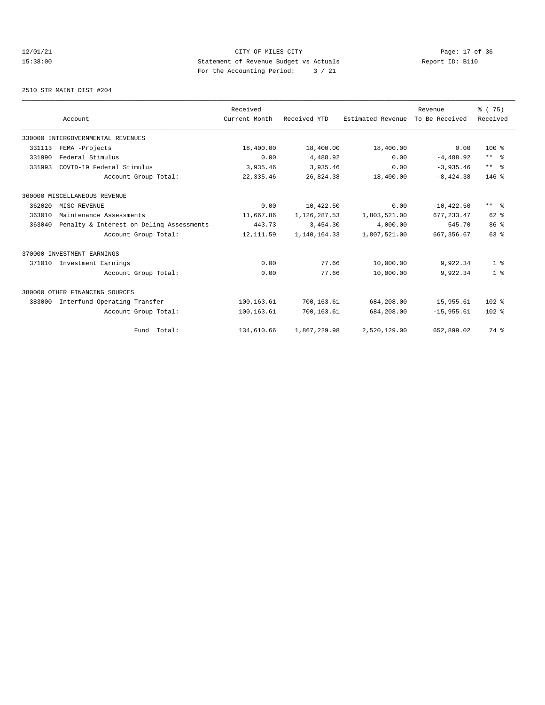12/01/21 Page: 17 of 36<br>15:38:00 Statement of Revenue Budget vs Actuals Report ID: B110<br>15:38:00 15:38:00 Statement of Revenue Budget vs Actuals Report ID: B110 For the Accounting Period: 3 / 21

2510 STR MAINT DIST #204

|        |                                          | Received      |              |                   | Revenue        | % (75)          |
|--------|------------------------------------------|---------------|--------------|-------------------|----------------|-----------------|
|        | Account                                  | Current Month | Received YTD | Estimated Revenue | To Be Received | Received        |
|        | 330000 INTERGOVERNMENTAL REVENUES        |               |              |                   |                |                 |
| 331113 | FEMA -Projects                           | 18,400.00     | 18,400.00    | 18,400.00         | 0.00           | $100*$          |
| 331990 | Federal Stimulus                         | 0.00          | 4,488.92     | 0.00              | $-4,488.92$    | $***$ $%$       |
| 331993 | COVID-19 Federal Stimulus                | 3,935.46      | 3,935.46     | 0.00              | $-3.935.46$    | $***$ $=$       |
|        | Account Group Total:                     | 22, 335.46    | 26,824.38    | 18,400.00         | $-8,424.38$    | $146$ %         |
|        | 360000 MISCELLANEOUS REVENUE             |               |              |                   |                |                 |
| 362020 | MISC REVENUE                             | 0.00          | 10,422.50    | 0.00              | $-10, 422.50$  | $***$ $ -$      |
| 363010 | Maintenance Assessments                  | 11,667.86     | 1,126,287.53 | 1,803,521.00      | 677.233.47     | $62$ $%$        |
| 363040 | Penalty & Interest on Deling Assessments | 443.73        | 3,454.30     | 4,000.00          | 545.70         | 86 <sup>8</sup> |
|        | Account Group Total:                     | 12, 111.59    | 1,140,164.33 | 1,807,521.00      | 667, 356.67    | 63%             |
|        | 370000 INVESTMENT EARNINGS               |               |              |                   |                |                 |
| 371010 | Investment Earnings                      | 0.00          | 77.66        | 10,000.00         | 9,922.34       | 1 <sup>8</sup>  |
|        | Account Group Total:                     | 0.00          | 77.66        | 10,000.00         | 9,922.34       | 1 <sup>8</sup>  |
|        | 380000 OTHER FINANCING SOURCES           |               |              |                   |                |                 |
| 383000 | Interfund Operating Transfer             | 100,163.61    | 700,163.61   | 684,208.00        | $-15,955.61$   | $102*$          |
|        | Account Group Total:                     | 100,163.61    | 700,163.61   | 684,208.00        | $-15, 955, 61$ | $102*$          |
|        | Fund Total:                              | 134,610.66    | 1,867,229.98 | 2,520,129.00      | 652,899.02     | 74 %            |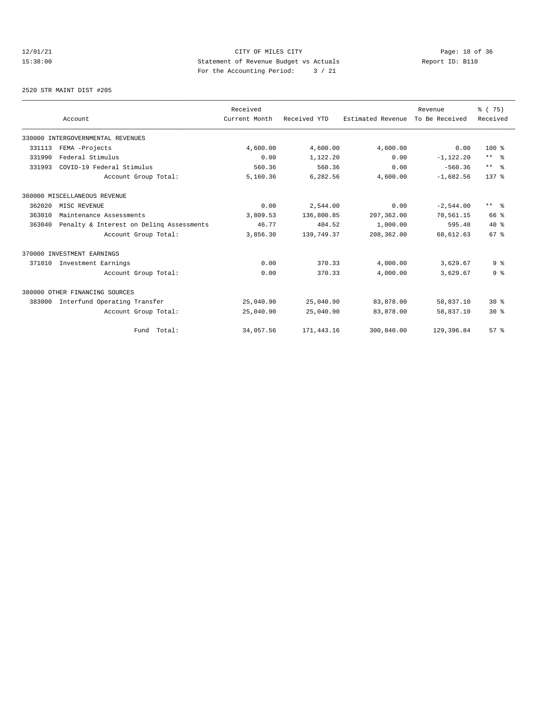# 12/01/21 CITY OF MILES CITY<br>15:38:00 Page: 18 of 36<br>15:38:00 CITY OF MILES CITY<br>15:38:00 Page: 18 of 36 15:38:00 Statement of Revenue Budget vs Actuals Report ID: B110 For the Accounting Period: 3 / 21

2520 STR MAINT DIST #205

|        |                                          | Received      |              |                   | Revenue        | % (75)                  |
|--------|------------------------------------------|---------------|--------------|-------------------|----------------|-------------------------|
|        | Account                                  | Current Month | Received YTD | Estimated Revenue | To Be Received | Received                |
|        | 330000 INTERGOVERNMENTAL REVENUES        |               |              |                   |                |                         |
| 331113 | FEMA -Projects                           | 4,600.00      | 4,600.00     | 4,600.00          | 0.00           | $100*$                  |
| 331990 | Federal Stimulus                         | 0.00          | 1,122.20     | 0.00              | $-1, 122.20$   | $***$ $%$               |
| 331993 | COVID-19 Federal Stimulus                | 560.36        | 560.36       | 0.00              | $-560.36$      | $***$ $%$               |
|        | Account Group Total:                     | 5,160.36      | 6,282.56     | 4,600.00          | $-1,682.56$    | $137*$                  |
|        | 360000 MISCELLANEOUS REVENUE             |               |              |                   |                |                         |
| 362020 | MISC REVENUE                             | 0.00          | 2,544.00     | 0.00              | $-2,544.00$    | $***$ $=$ $\frac{6}{5}$ |
| 363010 | Maintenance Assessments                  | 3,809.53      | 136,800.85   | 207,362.00        | 70,561.15      | 66 %                    |
| 363040 | Penalty & Interest on Deling Assessments | 46.77         | 404.52       | 1,000.00          | 595.48         | $40*$                   |
|        | Account Group Total:                     | 3,856.30      | 139,749.37   | 208,362.00        | 68,612.63      | 67 <sup>8</sup>         |
|        | 370000 INVESTMENT EARNINGS               |               |              |                   |                |                         |
| 371010 | Investment Earnings                      | 0.00          | 370.33       | 4,000.00          | 3,629.67       | 9 <sup>8</sup>          |
|        | Account Group Total:                     | 0.00          | 370.33       | 4,000.00          | 3,629.67       | 9 <sup>°</sup>          |
|        | 380000 OTHER FINANCING SOURCES           |               |              |                   |                |                         |
| 383000 | Interfund Operating Transfer             | 25,040.90     | 25,040.90    | 83,878.00         | 58,837.10      | $30*$                   |
|        | Account Group Total:                     | 25,040.90     | 25,040.90    | 83,878.00         | 58,837.10      | $30*$                   |
|        | Fund Total:                              | 34,057.56     | 171,443.16   | 300,840.00        | 129,396.84     | $57*$                   |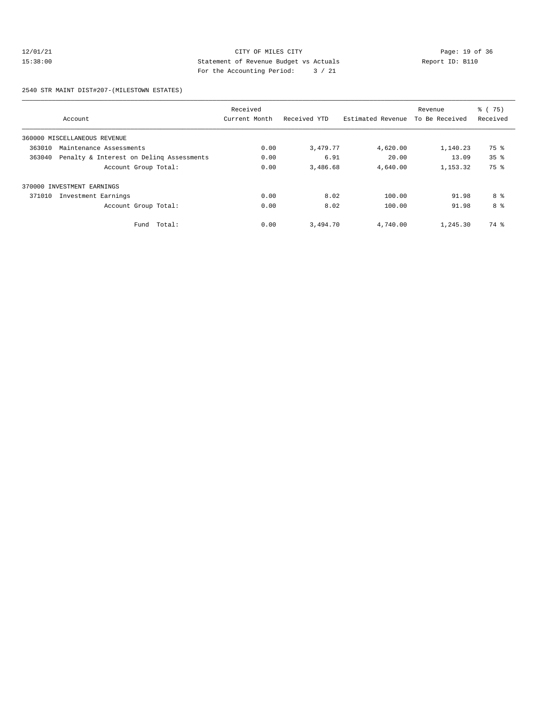# 12/01/21 CITY OF MILES CITY<br>15:38:00 Statement of Revenue Budget vs Actuals<br>15:38:00 Page: 19 of 36<br>15:38:00 Page: 19 of 36 15:38:00 Statement of Revenue Budget vs Actuals Report ID: B110 For the Accounting Period: 3 / 21

2540 STR MAINT DIST#207-(MILESTOWN ESTATES)

| Account                                            | Received<br>Current Month | Received YTD | Estimated Revenue | Revenue<br>To Be Received | % (75)<br>Received |
|----------------------------------------------------|---------------------------|--------------|-------------------|---------------------------|--------------------|
| 360000 MISCELLANEOUS REVENUE                       |                           |              |                   |                           |                    |
| 363010<br>Maintenance Assessments                  | 0.00                      | 3,479.77     | 4,620.00          | 1,140.23                  | 75 %               |
| 363040<br>Penalty & Interest on Deling Assessments | 0.00                      | 6.91         | 20.00             | 13.09                     | 35 <sup>8</sup>    |
| Account Group Total:                               | 0.00                      | 3,486.68     | 4,640.00          | 1,153.32                  | 75 %               |
| 370000 INVESTMENT EARNINGS                         |                           |              |                   |                           |                    |
| 371010<br>Investment Earnings                      | 0.00                      | 8.02         | 100.00            | 91.98                     | 8 %                |
| Account Group Total:                               | 0.00                      | 8.02         | 100.00            | 91.98                     | 8 %                |
| Fund Total:                                        | 0.00                      | 3,494.70     | 4,740.00          | 1,245.30                  | 74 %               |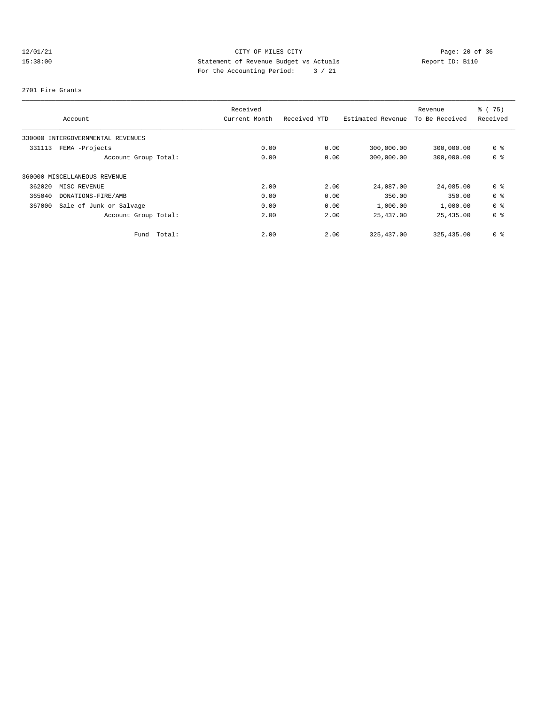# 12/01/21 Page: 20 of 36<br>15:38:00 CITY OF MILES CITY Page: 20 of 36<br>15:38:00 CITY OF MELES CITY Page: 20 of 36<br>15:38:00 CITY OF Revenue Budget vs Actuals 15:38:00 Statement of Revenue Budget vs Actuals Report ID: B110 For the Accounting Period: 3 / 21

#### 2701 Fire Grants

|        |                                   | Received      |              |                   | Revenue        | % (75)         |
|--------|-----------------------------------|---------------|--------------|-------------------|----------------|----------------|
|        | Account                           | Current Month | Received YTD | Estimated Revenue | To Be Received | Received       |
|        | 330000 INTERGOVERNMENTAL REVENUES |               |              |                   |                |                |
| 331113 | FEMA -Projects                    | 0.00          | 0.00         | 300,000.00        | 300,000.00     | 0 %            |
|        | Account Group Total:              | 0.00          | 0.00         | 300,000.00        | 300,000.00     | 0 %            |
|        | 360000 MISCELLANEOUS REVENUE      |               |              |                   |                |                |
| 362020 | MISC REVENUE                      | 2.00          | 2.00         | 24,087.00         | 24,085.00      | 0 %            |
| 365040 | DONATIONS-FIRE/AMB                | 0.00          | 0.00         | 350.00            | 350.00         | 0 %            |
| 367000 | Sale of Junk or Salvage           | 0.00          | 0.00         | 1,000.00          | 1,000.00       | 0 <sup>8</sup> |
|        | Account Group Total:              | 2.00          | 2.00         | 25,437.00         | 25,435.00      | 0 %            |
|        | Fund Total:                       | 2.00          | 2.00         | 325, 437, 00      | 325, 435, 00   | 0 %            |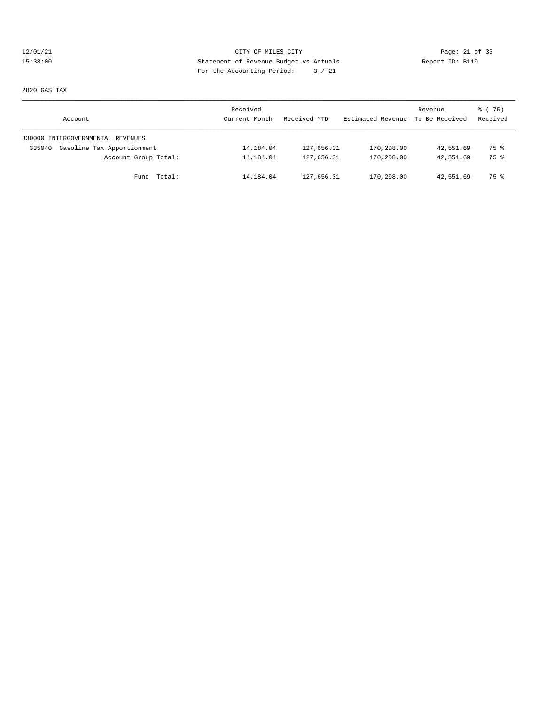# 12/01/21 Page: 21 of 36<br>15:38:00 CITY OF MILES CITY Page: 21 of 36<br>15:38:00 Statement of Revenue Budget vs Actuals<br>15:38:00 Page: 21 of 36 15:38:00 Statement of Revenue Budget vs Actuals Report ID: B110 For the Accounting Period: 3 / 21

2820 GAS TAX

| Account                              | Received<br>Current Month | Received YTD | Estimated Revenue | Revenue<br>To Be Received | 8 (75)<br>Received |
|--------------------------------------|---------------------------|--------------|-------------------|---------------------------|--------------------|
| 330000 INTERGOVERNMENTAL REVENUES    |                           |              |                   |                           |                    |
| Gasoline Tax Apportionment<br>335040 | 14,184.04                 | 127,656.31   | 170,208.00        | 42,551.69                 | 75 %               |
| Account Group Total:                 | 14,184.04                 | 127,656.31   | 170,208.00        | 42,551.69                 | 75 %               |
| Fund Total:                          | 14,184.04                 | 127,656.31   | 170,208.00        | 42,551.69                 | 75 %               |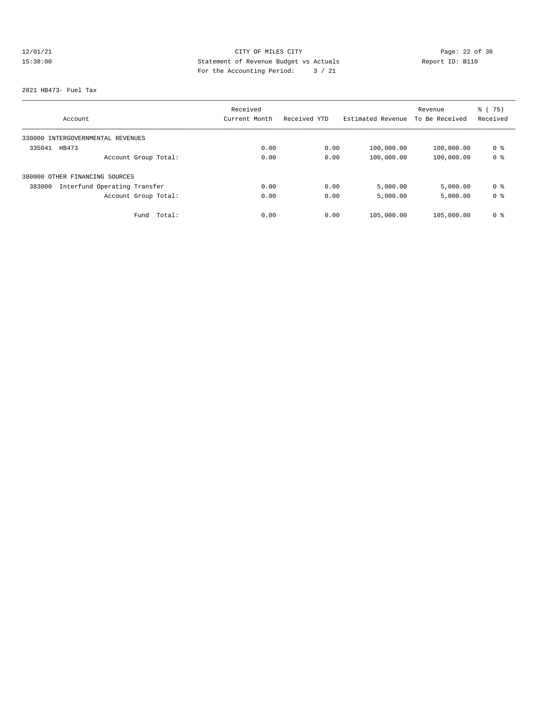# 12/01/21 Page: 22 of 36 15:38:00 Statement of Revenue Budget vs Actuals Report ID: B110 For the Accounting Period: 3 / 21

#### 2821 HB473- Fuel Tax

|                                        | Received      |              |                   | Revenue        | $\frac{3}{6}$ ( 75) |
|----------------------------------------|---------------|--------------|-------------------|----------------|---------------------|
| Account                                | Current Month | Received YTD | Estimated Revenue | To Be Received | Received            |
| 330000 INTERGOVERNMENTAL REVENUES      |               |              |                   |                |                     |
| 335041<br>HB473                        | 0.00          | 0.00         | 100,000.00        | 100,000.00     | 0 %                 |
| Account Group Total:                   | 0.00          | 0.00         | 100,000.00        | 100,000.00     | 0 <sup>8</sup>      |
| 380000 OTHER FINANCING SOURCES         |               |              |                   |                |                     |
| Interfund Operating Transfer<br>383000 | 0.00          | 0.00         | 5,000.00          | 5,000.00       | 0 %                 |
| Account Group Total:                   | 0.00          | 0.00         | 5,000.00          | 5,000.00       | 0 %                 |
| Fund<br>Total:                         | 0.00          | 0.00         | 105,000.00        | 105,000.00     | 0 %                 |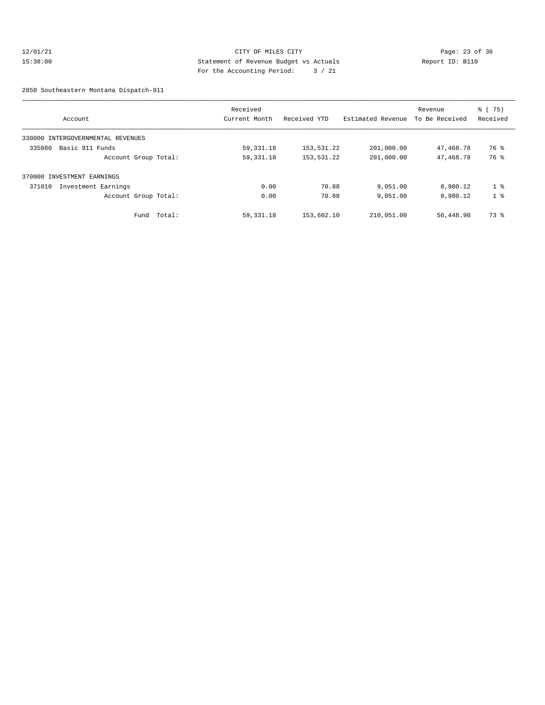#### 12/01/21 Page: 23 of 36 15:38:00 Statement of Revenue Budget vs Actuals Report ID: B110 For the Accounting Period: 3 / 21

2850 Southeastern Montana Dispatch-911

|                                   | Received      |              |                   | Revenue        | $\frac{3}{6}$ ( 75) |
|-----------------------------------|---------------|--------------|-------------------|----------------|---------------------|
| Account                           | Current Month | Received YTD | Estimated Revenue | To Be Received | Received            |
| 330000 INTERGOVERNMENTAL REVENUES |               |              |                   |                |                     |
| 335080<br>Basic 911 Funds         | 59,331.18     | 153,531.22   | 201,000.00        | 47,468.78      | 76 %                |
| Account Group Total:              | 59, 331. 18   | 153,531.22   | 201,000.00        | 47,468.78      | 76 %                |
| 370000 INVESTMENT EARNINGS        |               |              |                   |                |                     |
| 371010<br>Investment Earnings     | 0.00          | 70.88        | 9,051.00          | 8,980.12       | 1 <sup>8</sup>      |
| Account Group Total:              | 0.00          | 70.88        | 9,051.00          | 8,980.12       | 1 <sup>8</sup>      |
| Fund Total:                       | 59, 331. 18   | 153,602.10   | 210,051.00        | 56,448.90      | 73 %                |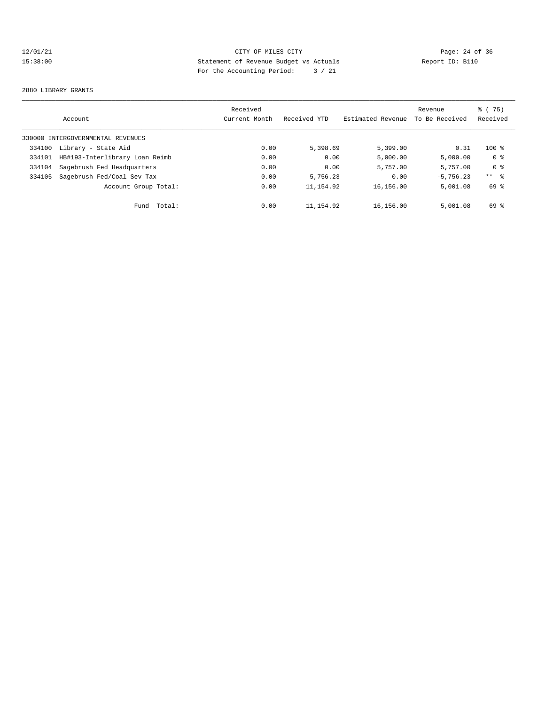# 12/01/21 Page: 24 of 36<br>15:38:00 Statement of Revenue Budget vs Actuals<br>15:38:00 Page: 24 of 36 15:38:00 Statement of Revenue Budget vs Actuals Report ID: B110 For the Accounting Period: 3 / 21

#### 2880 LIBRARY GRANTS

|        | Account                           | Received<br>Current Month | Received YTD | Estimated Revenue | Revenue<br>To Be Received | % (75)<br>Received |
|--------|-----------------------------------|---------------------------|--------------|-------------------|---------------------------|--------------------|
|        | 330000 INTERGOVERNMENTAL REVENUES |                           |              |                   |                           |                    |
| 334100 | Library - State Aid               | 0.00                      | 5,398.69     | 5,399.00          | 0.31                      | $100$ %            |
| 334101 | HB#193-Interlibrary Loan Reimb    | 0.00                      | 0.00         | 5,000.00          | 5,000.00                  | 0 %                |
| 334104 | Sagebrush Fed Headquarters        | 0.00                      | 0.00         | 5,757.00          | 5,757.00                  | 0 <sup>8</sup>     |
| 334105 | Sagebrush Fed/Coal Sev Tax        | 0.00                      | 5,756.23     | 0.00              | $-5.756.23$               | $***$ %            |
|        | Account Group Total:              | 0.00                      | 11, 154.92   | 16,156.00         | 5,001.08                  | 69 %               |
|        | Total:<br>Fund                    | 0.00                      | 11,154.92    | 16,156.00         | 5,001.08                  | 69 %               |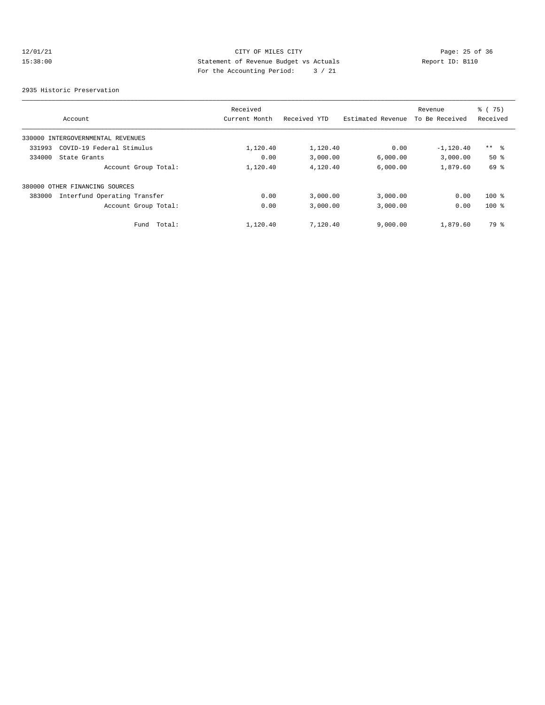# 12/01/21 CITY OF MILES CITY<br>15:38:00 Statement of Revenue Budget vs Actuals<br>15:38:00 Page: 25 of 36<br>15:38:00 Page: 25 of 36 15:38:00 Statement of Revenue Budget vs Actuals Report ID: B110 For the Accounting Period: 3 / 21

2935 Historic Preservation

|        | Account                           | Received<br>Current Month | Received YTD | Estimated Revenue | Revenue<br>To Be Received | % (75)<br>Received |
|--------|-----------------------------------|---------------------------|--------------|-------------------|---------------------------|--------------------|
|        | 330000 INTERGOVERNMENTAL REVENUES |                           |              |                   |                           |                    |
| 331993 | COVID-19 Federal Stimulus         | 1,120.40                  | 1,120.40     | 0.00              | $-1,120.40$               | ** %               |
| 334000 | State Grants                      | 0.00                      | 3,000.00     | 6.000.00          | 3,000.00                  | $50*$              |
|        | Account Group Total:              | 1,120.40                  | 4,120.40     | 6,000.00          | 1,879.60                  | 69 %               |
|        | 380000 OTHER FINANCING SOURCES    |                           |              |                   |                           |                    |
| 383000 | Interfund Operating Transfer      | 0.00                      | 3,000.00     | 3,000.00          | 0.00                      | $100$ %            |
|        | Account Group Total:              | 0.00                      | 3,000.00     | 3,000.00          | 0.00                      | $100$ %            |
|        | Fund Total:                       | 1,120.40                  | 7,120.40     | 9,000.00          | 1,879.60                  | 79 %               |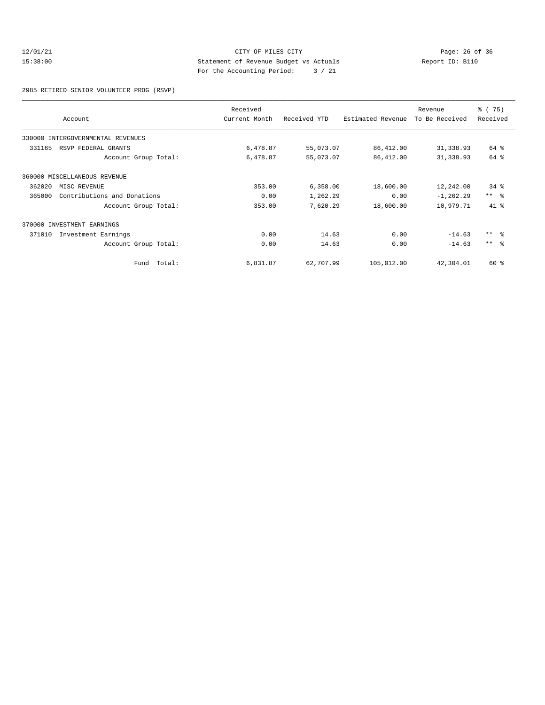#### 12/01/21 Page: 26 of 36<br>15:38:00 CITY OF MILES CITY Page: 26 of 36<br>15:38:00 Statement of Revenue Budget vs Actuals Report ID: B110 15:38:00 Statement of Revenue Budget vs Actuals Report ID: B110 For the Accounting Period: 3 / 21

2985 RETIRED SENIOR VOLUNTEER PROG (RSVP)

|        | Account                           | Received<br>Current Month | Received YTD | Estimated Revenue | Revenue<br>To Be Received | % (75)<br>Received |
|--------|-----------------------------------|---------------------------|--------------|-------------------|---------------------------|--------------------|
|        | 330000 INTERGOVERNMENTAL REVENUES |                           |              |                   |                           |                    |
| 331165 | RSVP FEDERAL GRANTS               | 6,478.87                  | 55,073.07    | 86,412.00         | 31,338.93                 | 64 %               |
|        | Account Group Total:              | 6,478.87                  | 55,073.07    | 86,412.00         | 31, 338.93                | 64 %               |
|        | 360000 MISCELLANEOUS REVENUE      |                           |              |                   |                           |                    |
| 362020 | MISC REVENUE                      | 353.00                    | 6,358.00     | 18,600.00         | 12,242.00                 | $34$ $%$           |
| 365000 | Contributions and Donations       | 0.00                      | 1,262.29     | 0.00              | $-1, 262.29$              | $***$ $ -$         |
|        | Account Group Total:              | 353.00                    | 7,620.29     | 18,600.00         | 10,979.71                 | $41*$              |
|        | 370000 INVESTMENT EARNINGS        |                           |              |                   |                           |                    |
| 371010 | Investment Earnings               | 0.00                      | 14.63        | 0.00              | $-14.63$                  | $***$ 2            |
|        | Account Group Total:              | 0.00                      | 14.63        | 0.00              | $-14.63$                  | $***$ $\approx$    |
|        | Total:<br>Fund                    | 6,831.87                  | 62,707.99    | 105,012.00        | 42,304.01                 | 60 %               |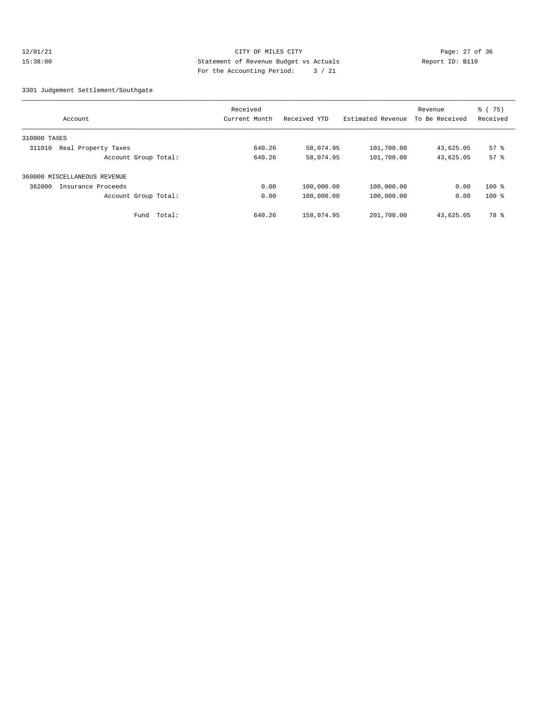#### 12/01/21 Page: 27 of 36 CITY CHANGES CITY CHANGES CITY 15:38:00 Statement of Revenue Budget vs Actuals Report ID: B110 For the Accounting Period: 3 / 21

#### 3301 Judgement Settlement/Southgate

|                               | Received      |              |                   | Revenue        | $\frac{1}{6}$ (75) |
|-------------------------------|---------------|--------------|-------------------|----------------|--------------------|
| Account                       | Current Month | Received YTD | Estimated Revenue | To Be Received | Received           |
| 310000 TAXES                  |               |              |                   |                |                    |
| Real Property Taxes<br>311010 | 640.26        | 58,074.95    | 101,700.00        | 43,625.05      | $57$ $%$           |
| Account Group Total:          | 640.26        | 58,074.95    | 101,700.00        | 43,625.05      | 57 <sup>8</sup>    |
| 360000 MISCELLANEOUS REVENUE  |               |              |                   |                |                    |
| 362000<br>Insurance Proceeds  | 0.00          | 100,000.00   | 100,000.00        | 0.00           | $100$ %            |
| Account Group Total:          | 0.00          | 100,000.00   | 100,000.00        | 0.00           | $100$ %            |
| Total:<br>Fund                | 640.26        | 158,074.95   | 201,700.00        | 43,625.05      | 78 %               |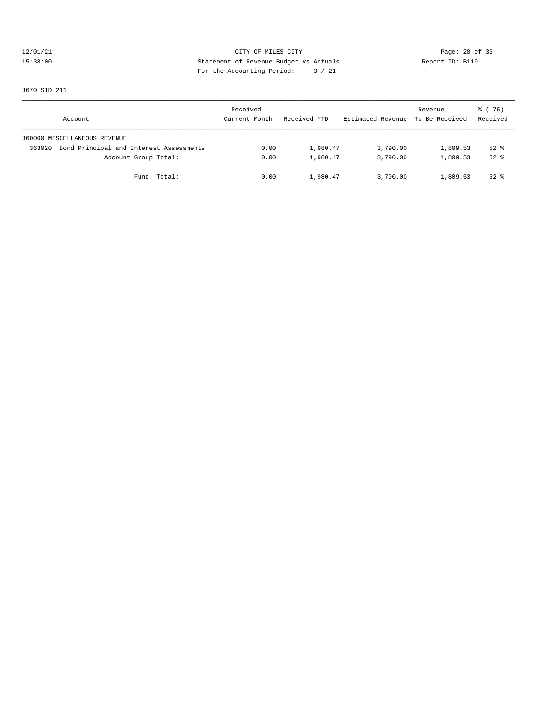# 12/01/21 CITY OF MILES CITY CONTRIBUTE CONTRIBUTE CONTRIBUTE CONTRIBUTE CONTRIBUTE CONTRIBUTE CONTRIBUTE CONTR<br>15:38:00 Statement of Revenue Budget vs Actuals Report ID: B110 15:38:00 Statement of Revenue Budget vs Actuals Report ID: B110 For the Accounting Period: 3 / 21

3670 SID 211

| Account                                           | Received<br>Current Month | Received YTD | Estimated Revenue To Be Received | Revenue  | 8 (75)<br>Received |
|---------------------------------------------------|---------------------------|--------------|----------------------------------|----------|--------------------|
| 360000 MISCELLANEOUS REVENUE                      |                           |              |                                  |          |                    |
| Bond Principal and Interest Assessments<br>363020 | 0.00                      | 1,980.47     | 3,790.00                         | 1,809.53 | $52$ $%$           |
| Account Group Total:                              | 0.00                      | 1,980.47     | 3,790.00                         | 1,809.53 | $52$ $%$           |
| Fund Total:                                       | 0.00                      | 1,980.47     | 3,790.00                         | 1,809.53 | $52$ $%$           |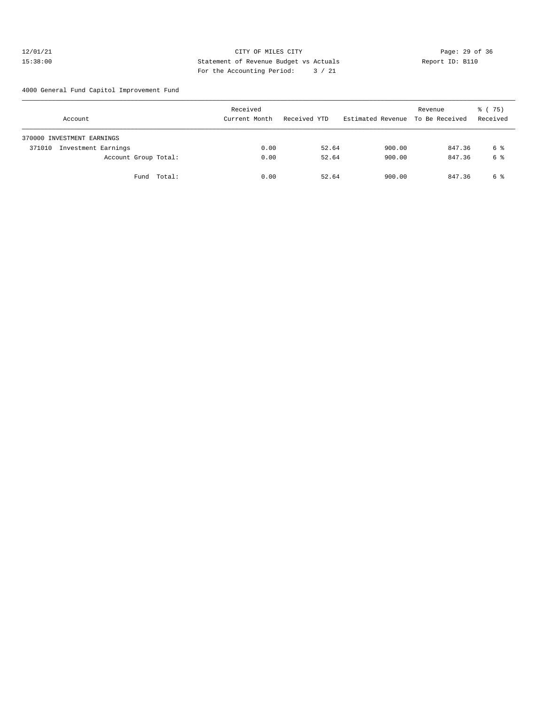#### 12/01/21 **CITY OF MILES CITY CITY CITY Page: 29 of 36** 15:38:00 Statement of Revenue Budget vs Actuals Report ID: B110 For the Accounting Period: 3 / 21

4000 General Fund Capitol Improvement Fund

| Account                       |        | Received<br>Current Month | Received YTD | Estimated Revenue To Be Received | Revenue | % (75)<br>Received |
|-------------------------------|--------|---------------------------|--------------|----------------------------------|---------|--------------------|
| 370000 INVESTMENT EARNINGS    |        |                           |              |                                  |         |                    |
| Investment Earnings<br>371010 |        | 0.00                      | 52.64        | 900.00                           | 847.36  | 6 %                |
| Account Group Total:          |        | 0.00                      | 52.64        | 900.00                           | 847.36  | 6 %                |
| Fund                          | Total: | 0.00                      | 52.64        | 900.00                           | 847.36  | 6 %                |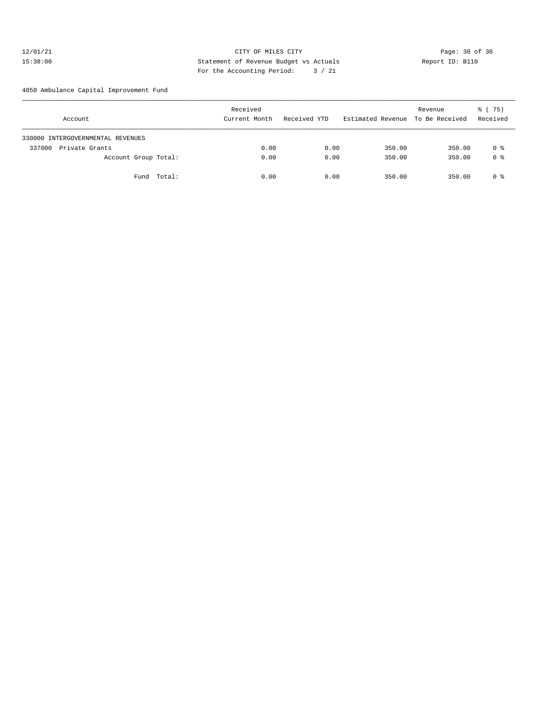#### 12/01/21 **CITY OF MILES CITY CITY CITY Page: 30 of 36** 15:38:00 Statement of Revenue Budget vs Actuals Report ID: B110 For the Accounting Period: 3 / 21

4050 Ambulance Capital Improvement Fund

| Account                           | Received<br>Current Month | Received YTD | Estimated Revenue To Be Received | Revenue | 8 (75)<br>Received |
|-----------------------------------|---------------------------|--------------|----------------------------------|---------|--------------------|
| 330000 INTERGOVERNMENTAL REVENUES |                           |              |                                  |         |                    |
| Private Grants<br>337000          | 0.00                      | 0.00         | 350.00                           | 350.00  | 0 %                |
| Account Group Total:              | 0.00                      | 0.00         | 350.00                           | 350.00  | 0 %                |
| Fund Total:                       | 0.00                      | 0.00         | 350.00                           | 350.00  | 0 %                |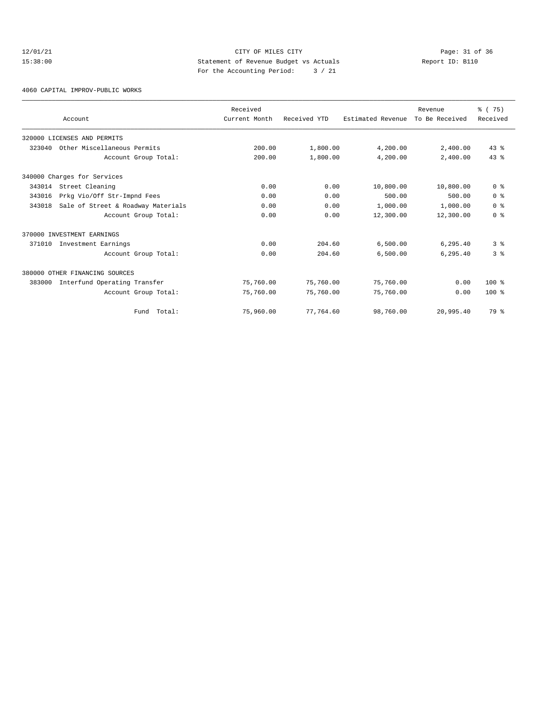# 12/01/21 Page: 31 of 36 15:38:00 Statement of Revenue Budget vs Actuals Report ID: B110 For the Accounting Period: 3 / 21

4060 CAPITAL IMPROV-PUBLIC WORKS

|        | Account                            | Received<br>Current Month | Received YTD | Estimated Revenue | Revenue<br>To Be Received | % (75)<br>Received |
|--------|------------------------------------|---------------------------|--------------|-------------------|---------------------------|--------------------|
|        | 320000 LICENSES AND PERMITS        |                           |              |                   |                           |                    |
| 323040 | Other Miscellaneous Permits        | 200.00                    | 1,800.00     | 4,200.00          | 2,400.00                  | $43$ $%$           |
|        | Account Group Total:               | 200.00                    | 1,800.00     | 4,200.00          | 2,400.00                  | 43.8               |
|        | 340000 Charges for Services        |                           |              |                   |                           |                    |
| 343014 | Street Cleaning                    | 0.00                      | 0.00         | 10,800.00         | 10,800.00                 | 0 <sup>8</sup>     |
| 343016 | Prkg Vio/Off Str-Impnd Fees        | 0.00                      | 0.00         | 500.00            | 500.00                    | 0 <sup>8</sup>     |
| 343018 | Sale of Street & Roadway Materials | 0.00                      | 0.00         | 1,000.00          | 1,000.00                  | 0 <sup>8</sup>     |
|        | Account Group Total:               | 0.00                      | 0.00         | 12,300.00         | 12,300.00                 | 0 <sup>8</sup>     |
|        | 370000 INVESTMENT EARNINGS         |                           |              |                   |                           |                    |
| 371010 | Investment Earnings                | 0.00                      | 204.60       | 6,500.00          | 6.295.40                  | 38                 |
|        | Account Group Total:               | 0.00                      | 204.60       | 6,500.00          | 6,295.40                  | 3 <sup>8</sup>     |
|        | 380000 OTHER FINANCING SOURCES     |                           |              |                   |                           |                    |
| 383000 | Interfund Operating Transfer       | 75,760.00                 | 75,760.00    | 75,760.00         | 0.00                      | $100*$             |
|        | Account Group Total:               | 75,760.00                 | 75,760.00    | 75,760.00         | 0.00                      | $100*$             |
|        | Fund Total:                        | 75,960.00                 | 77,764.60    | 98,760.00         | 20,995.40                 | 79 %               |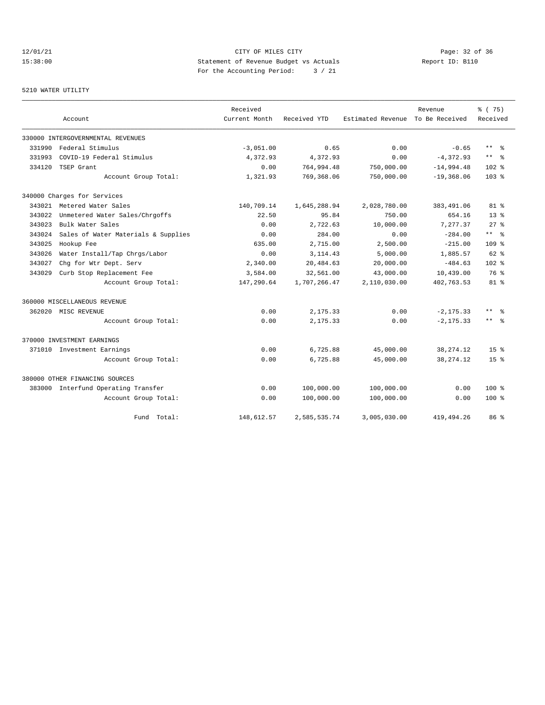12/01/21 **CITY OF MILES CITY CITY CITY PAGE:** 22 of 36 15:38:00 Statement of Revenue Budget vs Actuals Report ID: B110 For the Accounting Period: 3 / 21

#### 5210 WATER UTILITY

|        |                                     | Received      |              |                   | Revenue        | % (75)                  |
|--------|-------------------------------------|---------------|--------------|-------------------|----------------|-------------------------|
|        | Account                             | Current Month | Received YTD | Estimated Revenue | To Be Received | Received                |
|        | 330000 INTERGOVERNMENTAL REVENUES   |               |              |                   |                |                         |
| 331990 | Federal Stimulus                    | $-3,051.00$   | 0.65         | 0.00              | $-0.65$        | $***$ $=$ $\frac{6}{5}$ |
| 331993 | COVID-19 Federal Stimulus           | 4,372.93      | 4,372.93     | 0.00              | $-4,372.93$    | $***$ $-$               |
| 334120 | TSEP Grant                          | 0.00          | 764,994.48   | 750,000.00        | $-14,994.48$   | $102*$                  |
|        | Account Group Total:                | 1,321.93      | 769,368.06   | 750,000.00        | $-19,368.06$   | 103 <sub>8</sub>        |
|        | 340000 Charges for Services         |               |              |                   |                |                         |
|        | 343021 Metered Water Sales          | 140,709.14    | 1,645,288.94 | 2,028,780.00      | 383,491.06     | $81*$                   |
| 343022 | Unmetered Water Sales/Chrgoffs      | 22.50         | 95.84        | 750.00            | 654.16         | 13 <sup>8</sup>         |
| 343023 | Bulk Water Sales                    | 0.00          | 2,722.63     | 10,000.00         | 7,277.37       | $27*$                   |
| 343024 | Sales of Water Materials & Supplies | 0.00          | 284.00       | 0.00              | $-284.00$      | $***$ $ -$              |
| 343025 | Hookup Fee                          | 635.00        | 2,715.00     | 2,500.00          | $-215.00$      | 109 <sub>8</sub>        |
| 343026 | Water Install/Tap Chrgs/Labor       | 0.00          | 3, 114.43    | 5,000.00          | 1,885.57       | $62$ $%$                |
| 343027 | Chg for Wtr Dept. Serv              | 2,340.00      | 20,484.63    | 20,000.00         | $-484.63$      | 102 %                   |
| 343029 | Curb Stop Replacement Fee           | 3,584.00      | 32,561.00    | 43,000.00         | 10,439.00      | 76 %                    |
|        | Account Group Total:                | 147,290.64    | 1,707,266.47 | 2,110,030.00      | 402,763.53     | 81 %                    |
|        | 360000 MISCELLANEOUS REVENUE        |               |              |                   |                |                         |
|        | 362020 MISC REVENUE                 | 0.00          | 2,175.33     | 0.00              | $-2, 175.33$   | $***$ $=$               |
|        | Account Group Total:                | 0.00          | 2,175.33     | 0.00              | $-2, 175.33$   | ** 왕                    |
|        | 370000 INVESTMENT EARNINGS          |               |              |                   |                |                         |
|        | 371010 Investment Earnings          | 0.00          | 6,725.88     | 45,000.00         | 38, 274. 12    | $15*$                   |
|        | Account Group Total:                | 0.00          | 6,725.88     | 45,000.00         | 38, 274. 12    | $15*$                   |
|        | 380000 OTHER FINANCING SOURCES      |               |              |                   |                |                         |
|        | 383000 Interfund Operating Transfer | 0.00          | 100,000.00   | 100,000.00        | 0.00           | $100*$                  |
|        | Account Group Total:                | 0.00          | 100,000.00   | 100,000.00        | 0.00           | $100*$                  |
|        | Fund Total:                         | 148,612.57    | 2,585,535.74 | 3,005,030.00      | 419, 494.26    | 86 %                    |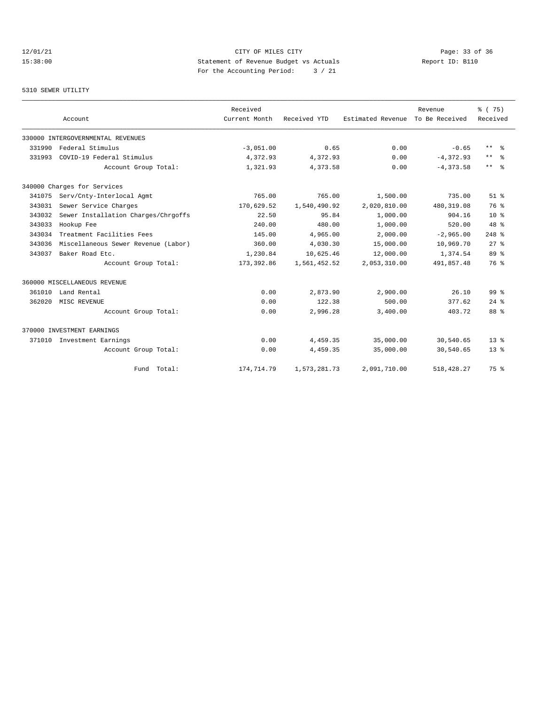# 12/01/21 Page: 33 of 36 Page: 33 of 36 Page: 33 of 36 Page: 33 of 36 Page: 33 of 36 Page: 33 Of 36 Page: 33 Of 36 15:38:00 Statement of Revenue Budget vs Actuals Report ID: B110 For the Accounting Period: 3 / 21

5310 SEWER UTILITY

|        | Account                             | Received<br>Current Month | Received YTD | Estimated Revenue | Revenue<br>To Be Received | % (75)<br>Received |
|--------|-------------------------------------|---------------------------|--------------|-------------------|---------------------------|--------------------|
|        | 330000 INTERGOVERNMENTAL REVENUES   |                           |              |                   |                           |                    |
| 331990 | Federal Stimulus                    | $-3,051.00$               | 0.65         | 0.00              | $-0.65$                   | $***$ $ -$         |
| 331993 | COVID-19 Federal Stimulus           | 4,372.93                  | 4,372.93     | 0.00              | $-4, 372.93$              | $***$<br>- 옹       |
|        | Account Group Total:                | 1,321.93                  | 4,373.58     | 0.00              | $-4.373.58$               | $***$<br>- 옹       |
|        | 340000 Charges for Services         |                           |              |                   |                           |                    |
| 341075 | Serv/Cnty-Interlocal Agmt           | 765.00                    | 765.00       | 1,500.00          | 735.00                    | $51$ $%$           |
| 343031 | Sewer Service Charges               | 170,629.52                | 1,540,490.92 | 2,020,810.00      | 480, 319.08               | 76 %               |
| 343032 | Sewer Installation Charges/Chrgoffs | 22.50                     | 95.84        | 1,000.00          | 904.16                    | 10 <sup>8</sup>    |
| 343033 | Hookup Fee                          | 240.00                    | 480.00       | 1,000.00          | 520.00                    | $48*$              |
| 343034 | Treatment Facilities Fees           | 145.00                    | 4,965.00     | 2,000.00          | $-2,965.00$               | $248$ %            |
| 343036 | Miscellaneous Sewer Revenue (Labor) | 360.00                    | 4,030.30     | 15,000.00         | 10,969.70                 | $27$ $%$           |
| 343037 | Baker Road Etc.                     | 1,230.84                  | 10,625.46    | 12,000.00         | 1,374.54                  | 89 %               |
|        | Account Group Total:                | 173,392.86                | 1,561,452.52 | 2,053,310.00      | 491,857.48                | 76 %               |
|        | 360000 MISCELLANEOUS REVENUE        |                           |              |                   |                           |                    |
| 361010 | Land Rental                         | 0.00                      | 2,873.90     | 2,900.00          | 26.10                     | 99 <sup>8</sup>    |
| 362020 | MISC REVENUE                        | 0.00                      | 122.38       | 500.00            | 377.62                    | $24$ $%$           |
|        | Account Group Total:                | 0.00                      | 2,996.28     | 3,400.00          | 403.72                    | 88 %               |
|        | 370000 INVESTMENT EARNINGS          |                           |              |                   |                           |                    |
| 371010 | Investment Earnings                 | 0.00                      | 4,459.35     | 35,000.00         | 30,540.65                 | $13*$              |
|        | Account Group Total:                | 0.00                      | 4,459.35     | 35,000.00         | 30,540.65                 | $13*$              |
|        | Fund Total:                         | 174,714.79                | 1,573,281.73 | 2,091,710.00      | 518, 428.27               | 75 %               |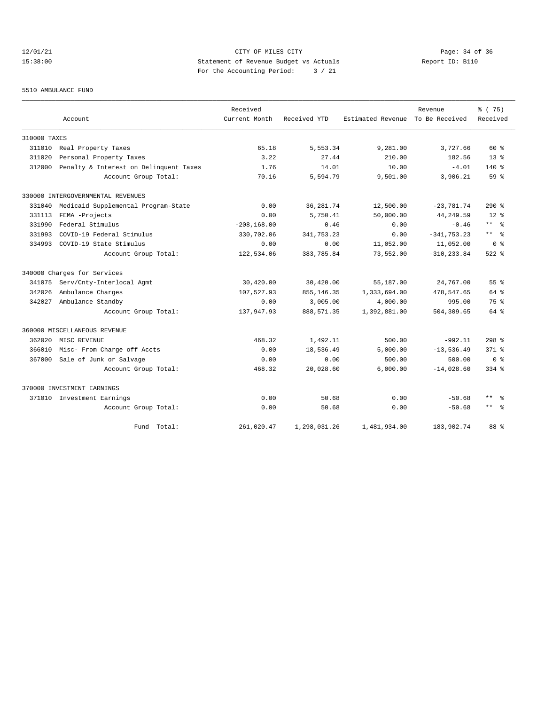# 12/01/21 Page: 34 of 36 15:38:00 Statement of Revenue Budget vs Actuals Report ID: B110 For the Accounting Period: 3 / 21

#### 5510 AMBULANCE FUND

|              |                                        | Received       |              |                   | Revenue        | % (75)              |
|--------------|----------------------------------------|----------------|--------------|-------------------|----------------|---------------------|
|              | Account                                | Current Month  | Received YTD | Estimated Revenue | To Be Received | Received            |
| 310000 TAXES |                                        |                |              |                   |                |                     |
| 311010       | Real Property Taxes                    | 65.18          | 5,553.34     | 9,281.00          | 3,727.66       | $60*$               |
| 311020       | Personal Property Taxes                | 3.22           | 27.44        | 210.00            | 182.56         | $13*$               |
| 312000       | Penalty & Interest on Delinquent Taxes | 1.76           | 14.01        | 10.00             | $-4.01$        | $140*$              |
|              | Account Group Total:                   | 70.16          | 5,594.79     | 9,501.00          | 3,906.21       | $59*$               |
|              | 330000 INTERGOVERNMENTAL REVENUES      |                |              |                   |                |                     |
| 331040       | Medicaid Supplemental Program-State    | 0.00           | 36, 281.74   | 12,500.00         | $-23,781.74$   | $290$ %             |
| 331113       | FEMA -Projects                         | 0.00           | 5,750.41     | 50,000.00         | 44,249.59      | $12*$               |
| 331990       | Federal Stimulus                       | $-208, 168.00$ | 0.46         | 0.00              | $-0.46$        | $***$ %             |
| 331993       | COVID-19 Federal Stimulus              | 330,702.06     | 341,753.23   | 0.00              | $-341, 753.23$ | $\star\star$<br>ം ക |
| 334993       | COVID-19 State Stimulus                | 0.00           | 0.00         | 11,052.00         | 11,052.00      | 0 <sup>8</sup>      |
|              | Account Group Total:                   | 122,534.06     | 383,785.84   | 73,552.00         | $-310, 233.84$ | $522$ $%$           |
|              | 340000 Charges for Services            |                |              |                   |                |                     |
| 341075       | Serv/Cnty-Interlocal Agmt              | 30,420.00      | 30,420.00    | 55,187.00         | 24,767.00      | 55 <sup>8</sup>     |
| 342026       | Ambulance Charges                      | 107,527.93     | 855, 146.35  | 1,333,694.00      | 478,547.65     | $64$ $%$            |
| 342027       | Ambulance Standby                      | 0.00           | 3,005.00     | 4,000.00          | 995.00         | 75 %                |
|              | Account Group Total:                   | 137,947.93     | 888, 571.35  | 1,392,881.00      | 504,309.65     | $64$ $%$            |
|              | 360000 MISCELLANEOUS REVENUE           |                |              |                   |                |                     |
| 362020       | MISC REVENUE                           | 468.32         | 1,492.11     | 500.00            | $-992.11$      | $298$ %             |
| 366010       | Misc- From Charge off Accts            | 0.00           | 18,536.49    | 5,000.00          | $-13,536.49$   | $371$ $%$           |
| 367000       | Sale of Junk or Salvage                | 0.00           | 0.00         | 500.00            | 500.00         | ი ჵ                 |
|              | Account Group Total:                   | 468.32         | 20,028.60    | 6,000.00          | $-14,028.60$   | $334$ $%$           |
|              | 370000 INVESTMENT EARNINGS             |                |              |                   |                |                     |
|              | 371010 Investment Earnings             | 0.00           | 50.68        | 0.00              | $-50.68$       | $***$<br>- 왕        |
|              | Account Group Total:                   | 0.00           | 50.68        | 0.00              | $-50.68$       | $\star\star$<br>- 옹 |
|              | Fund Total:                            | 261,020.47     | 1,298,031.26 | 1,481,934.00      | 183,902.74     | 88 %                |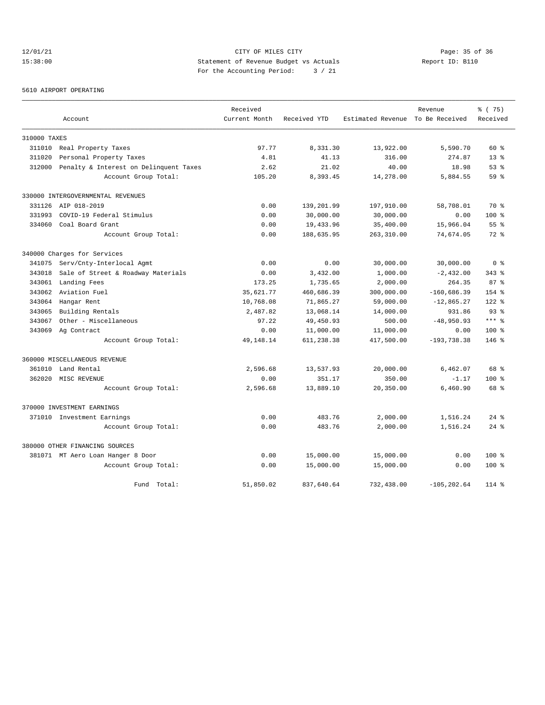# 12/01/21 Page: 35 of 36 Page: 35 of 36 Page: 35 of 36 Page: 35 of 36 Page: 35 of 36 Page: 35 Of 36 15:38:00 Statement of Revenue Budget vs Actuals Report ID: B110 For the Accounting Period: 3 / 21

#### 5610 AIRPORT OPERATING

|              |                                        | Received      |              |                                  | Revenue        | % (75)          |
|--------------|----------------------------------------|---------------|--------------|----------------------------------|----------------|-----------------|
|              | Account                                | Current Month | Received YTD | Estimated Revenue To Be Received |                | Received        |
| 310000 TAXES |                                        |               |              |                                  |                |                 |
|              | 311010 Real Property Taxes             | 97.77         | 8,331.30     | 13,922.00                        | 5,590.70       | $60*$           |
| 311020       | Personal Property Taxes                | 4.81          | 41.13        | 316.00                           | 274.87         | $13*$           |
| 312000       | Penalty & Interest on Delinquent Taxes | 2.62          | 21.02        | 40.00                            | 18.98          | 53%             |
|              | Account Group Total:                   | 105.20        | 8,393.45     | 14,278.00                        | 5,884.55       | 59 <sup>8</sup> |
|              | 330000 INTERGOVERNMENTAL REVENUES      |               |              |                                  |                |                 |
|              | 331126 AIP 018-2019                    | 0.00          | 139,201.99   | 197,910.00                       | 58,708.01      | 70 %            |
| 331993       | COVID-19 Federal Stimulus              | 0.00          | 30,000.00    | 30,000.00                        | 0.00           | 100 %           |
| 334060       | Coal Board Grant                       | 0.00          | 19,433.96    | 35,400.00                        | 15,966.04      | 55 <sup>8</sup> |
|              | Account Group Total:                   | 0.00          | 188,635.95   | 263,310.00                       | 74,674.05      | $72*$           |
|              | 340000 Charges for Services            |               |              |                                  |                |                 |
| 341075       | Serv/Cnty-Interlocal Agmt              | 0.00          | 0.00         | 30,000.00                        | 30,000.00      | 0 <sup>8</sup>  |
| 343018       | Sale of Street & Roadway Materials     | 0.00          | 3,432.00     | 1,000.00                         | $-2,432.00$    | $343$ $%$       |
| 343061       | Landing Fees                           | 173.25        | 1,735.65     | 2,000.00                         | 264.35         | 87 <sup>8</sup> |
| 343062       | Aviation Fuel                          | 35,621.77     | 460,686.39   | 300,000.00                       | $-160,686.39$  | $154$ %         |
| 343064       | Hangar Rent                            | 10,768.08     | 71,865.27    | 59,000.00                        | $-12,865.27$   | $122$ %         |
| 343065       | Building Rentals                       | 2,487.82      | 13,068.14    | 14,000.00                        | 931.86         | 93 <sup>°</sup> |
| 343067       | Other - Miscellaneous                  | 97.22         | 49,450.93    | 500.00                           | $-48,950.93$   | $***$ %         |
| 343069       | Ag Contract                            | 0.00          | 11,000.00    | 11,000.00                        | 0.00           | 100 %           |
|              | Account Group Total:                   | 49, 148. 14   | 611,238.38   | 417,500.00                       | $-193,738.38$  | $146$ %         |
|              | 360000 MISCELLANEOUS REVENUE           |               |              |                                  |                |                 |
|              | 361010 Land Rental                     | 2,596.68      | 13,537.93    | 20,000.00                        | 6,462.07       | 68 %            |
|              | 362020 MISC REVENUE                    | 0.00          | 351.17       | 350.00                           | $-1.17$        | $100$ %         |
|              | Account Group Total:                   | 2,596.68      | 13,889.10    | 20,350.00                        | 6,460.90       | 68 %            |
|              | 370000 INVESTMENT EARNINGS             |               |              |                                  |                |                 |
|              | 371010 Investment Earnings             | 0.00          | 483.76       | 2,000.00                         | 1,516.24       | $24$ $%$        |
|              | Account Group Total:                   | 0.00          | 483.76       | 2,000.00                         | 1,516.24       | $24$ $%$        |
|              | 380000 OTHER FINANCING SOURCES         |               |              |                                  |                |                 |
|              | 381071 MT Aero Loan Hanger 8 Door      | 0.00          | 15,000.00    | 15,000.00                        | 0.00           | 100 %           |
|              | Account Group Total:                   | 0.00          | 15,000.00    | 15,000.00                        | 0.00           | 100 %           |
|              | Fund Total:                            | 51,850.02     | 837,640.64   | 732,438.00                       | $-105, 202.64$ | $114$ %         |